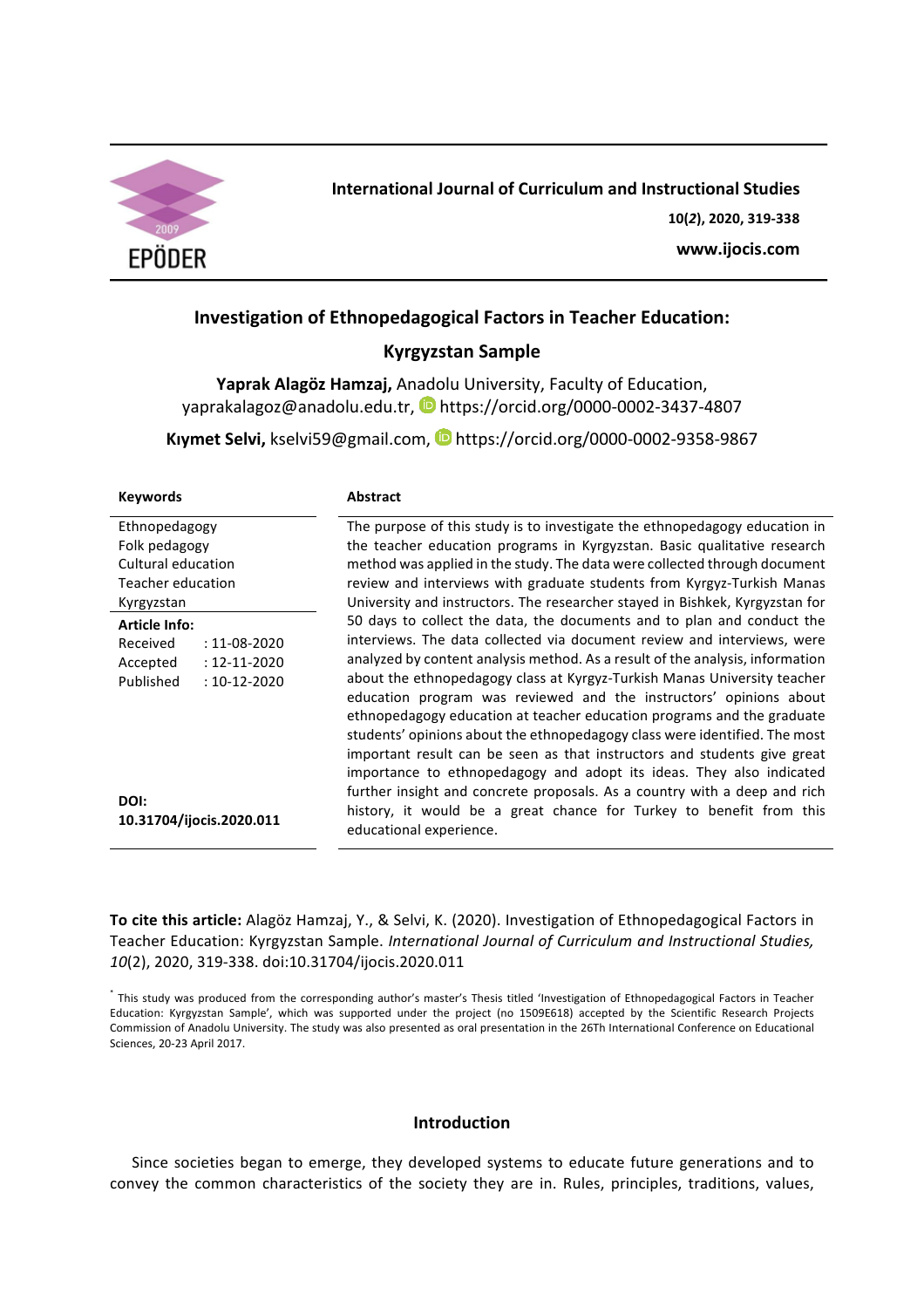

# **International Journal of Curriculum and Instructional Studies**

**10(***2***), 2020, 319-338**

# **www.ijocis.com**

# **Investigation of Ethnopedagogical Factors in Teacher Education:**

# **Kyrgyzstan Sample**

Yaprak Alagöz Hamzaj, Anadolu University, Faculty of Education, yaprakalagoz@anadolu.edu.tr, https://orcid.org/0000-0002-3437-4807

**Kiymet Selvi,** kselvi59@gmail.com, **D** https://orcid.org/0000-0002-9358-9867

| <b>Keywords</b>                 | <b>Abstract</b>                                                               |
|---------------------------------|-------------------------------------------------------------------------------|
| Ethnopedagogy                   | The purpose of this study is to investigate the ethnopedagogy education in    |
| Folk pedagogy                   | the teacher education programs in Kyrgyzstan. Basic qualitative research      |
| Cultural education              | method was applied in the study. The data were collected through document     |
| Teacher education               | review and interviews with graduate students from Kyrgyz-Turkish Manas        |
| Kyrgyzstan                      | University and instructors. The researcher stayed in Bishkek, Kyrgyzstan for  |
| <b>Article Info:</b>            | 50 days to collect the data, the documents and to plan and conduct the        |
| Received<br>$: 11 - 08 - 2020$  | interviews. The data collected via document review and interviews, were       |
| $: 12 - 11 - 2020$<br>Accepted  | analyzed by content analysis method. As a result of the analysis, information |
| Published<br>$: 10 - 12 - 2020$ | about the ethnopedagogy class at Kyrgyz-Turkish Manas University teacher      |
|                                 | education program was reviewed and the instructors' opinions about            |
|                                 | ethnopedagogy education at teacher education programs and the graduate        |
|                                 | students' opinions about the ethnopedagogy class were identified. The most    |
|                                 | important result can be seen as that instructors and students give great      |
|                                 | importance to ethnopedagogy and adopt its ideas. They also indicated          |
|                                 | further insight and concrete proposals. As a country with a deep and rich     |
| DOI:                            | history, it would be a great chance for Turkey to benefit from this           |
| 10.31704/ijocis.2020.011        | educational experience.                                                       |

To cite this article: Alagöz Hamzaj, Y., & Selvi, K. (2020). Investigation of Ethnopedagogical Factors in Teacher Education: Kyrgyzstan Sample. *International Journal of Curriculum and Instructional Studies, 10*(2), 2020, 319-338. doi:10.31704/ijocis.2020.011

# **Introduction**

Since societies began to emerge, they developed systems to educate future generations and to convey the common characteristics of the society they are in. Rules, principles, traditions, values,

<sup>\*</sup> This study was produced from the corresponding author's master's Thesis titled 'Investigation of Ethnopedagogical Factors in Teacher Education: Kyrgyzstan Sample', which was supported under the project (no 1509E618) accepted by the Scientific Research Projects Commission of Anadolu University. The study was also presented as oral presentation in the 26Th International Conference on Educational Sciences, 20-23 April 2017.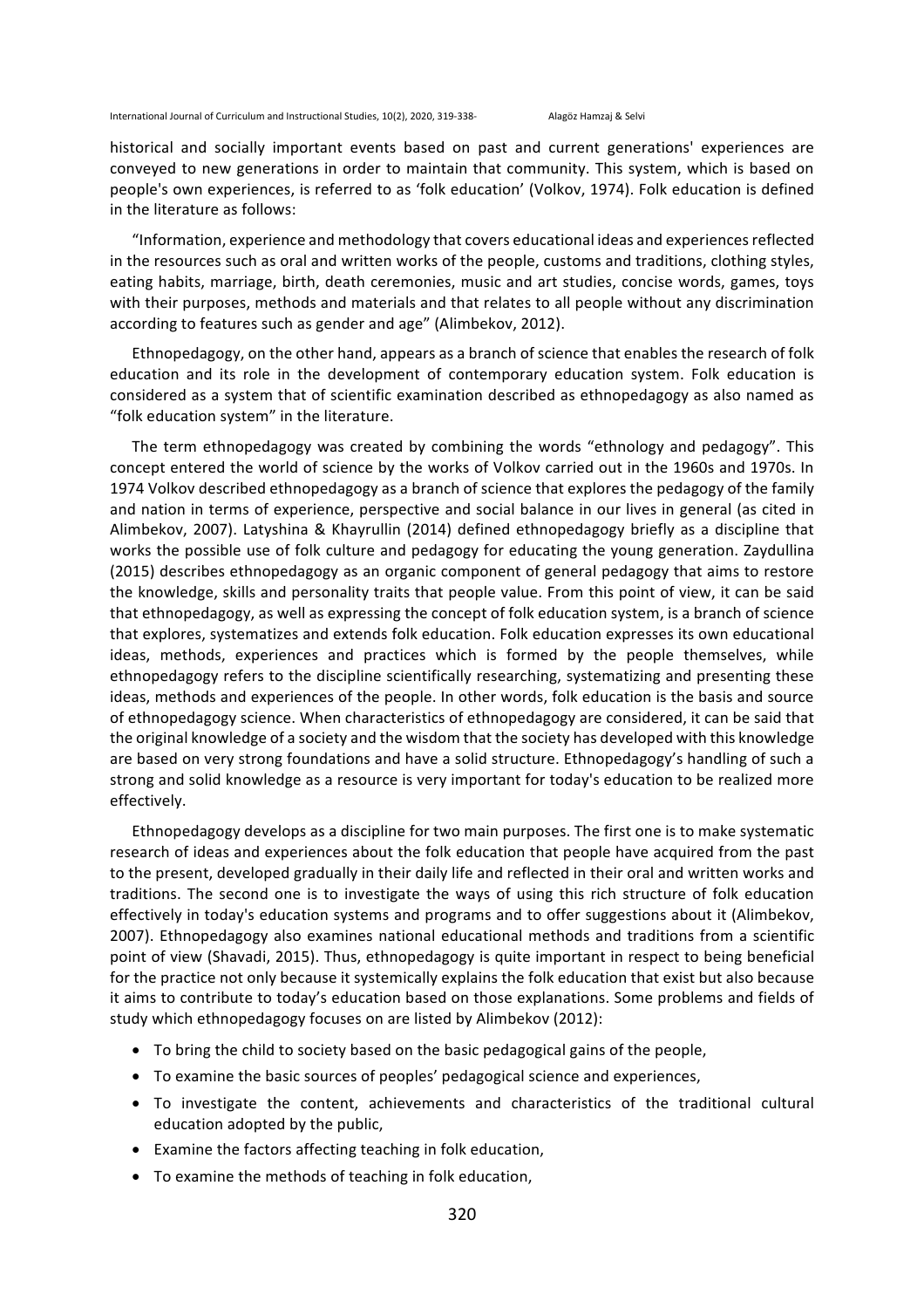historical and socially important events based on past and current generations' experiences are conveyed to new generations in order to maintain that community. This system, which is based on people's own experiences, is referred to as 'folk education' (Volkov, 1974). Folk education is defined in the literature as follows:

"Information, experience and methodology that covers educational ideas and experiences reflected in the resources such as oral and written works of the people, customs and traditions, clothing styles, eating habits, marriage, birth, death ceremonies, music and art studies, concise words, games, toys with their purposes, methods and materials and that relates to all people without any discrimination according to features such as gender and age" (Alimbekov, 2012).

Ethnopedagogy, on the other hand, appears as a branch of science that enables the research of folk education and its role in the development of contemporary education system. Folk education is considered as a system that of scientific examination described as ethnopedagogy as also named as "folk education system" in the literature.

The term ethnopedagogy was created by combining the words "ethnology and pedagogy". This concept entered the world of science by the works of Volkov carried out in the 1960s and 1970s. In 1974 Volkov described ethnopedagogy as a branch of science that explores the pedagogy of the family and nation in terms of experience, perspective and social balance in our lives in general (as cited in Alimbekov, 2007). Latyshina & Khayrullin (2014) defined ethnopedagogy briefly as a discipline that works the possible use of folk culture and pedagogy for educating the young generation. Zaydullina (2015) describes ethnopedagogy as an organic component of general pedagogy that aims to restore the knowledge, skills and personality traits that people value. From this point of view, it can be said that ethnopedagogy, as well as expressing the concept of folk education system, is a branch of science that explores, systematizes and extends folk education. Folk education expresses its own educational ideas, methods, experiences and practices which is formed by the people themselves, while ethnopedagogy refers to the discipline scientifically researching, systematizing and presenting these ideas, methods and experiences of the people. In other words, folk education is the basis and source of ethnopedagogy science. When characteristics of ethnopedagogy are considered, it can be said that the original knowledge of a society and the wisdom that the society has developed with this knowledge are based on very strong foundations and have a solid structure. Ethnopedagogy's handling of such a strong and solid knowledge as a resource is very important for today's education to be realized more effectively.

Ethnopedagogy develops as a discipline for two main purposes. The first one is to make systematic research of ideas and experiences about the folk education that people have acquired from the past to the present, developed gradually in their daily life and reflected in their oral and written works and traditions. The second one is to investigate the ways of using this rich structure of folk education effectively in today's education systems and programs and to offer suggestions about it (Alimbekov, 2007). Ethnopedagogy also examines national educational methods and traditions from a scientific point of view (Shavadi, 2015). Thus, ethnopedagogy is quite important in respect to being beneficial for the practice not only because it systemically explains the folk education that exist but also because it aims to contribute to today's education based on those explanations. Some problems and fields of study which ethnopedagogy focuses on are listed by Alimbekov (2012):

- To bring the child to society based on the basic pedagogical gains of the people,
- To examine the basic sources of peoples' pedagogical science and experiences,
- To investigate the content, achievements and characteristics of the traditional cultural education adopted by the public,
- $\bullet$  Examine the factors affecting teaching in folk education,
- To examine the methods of teaching in folk education,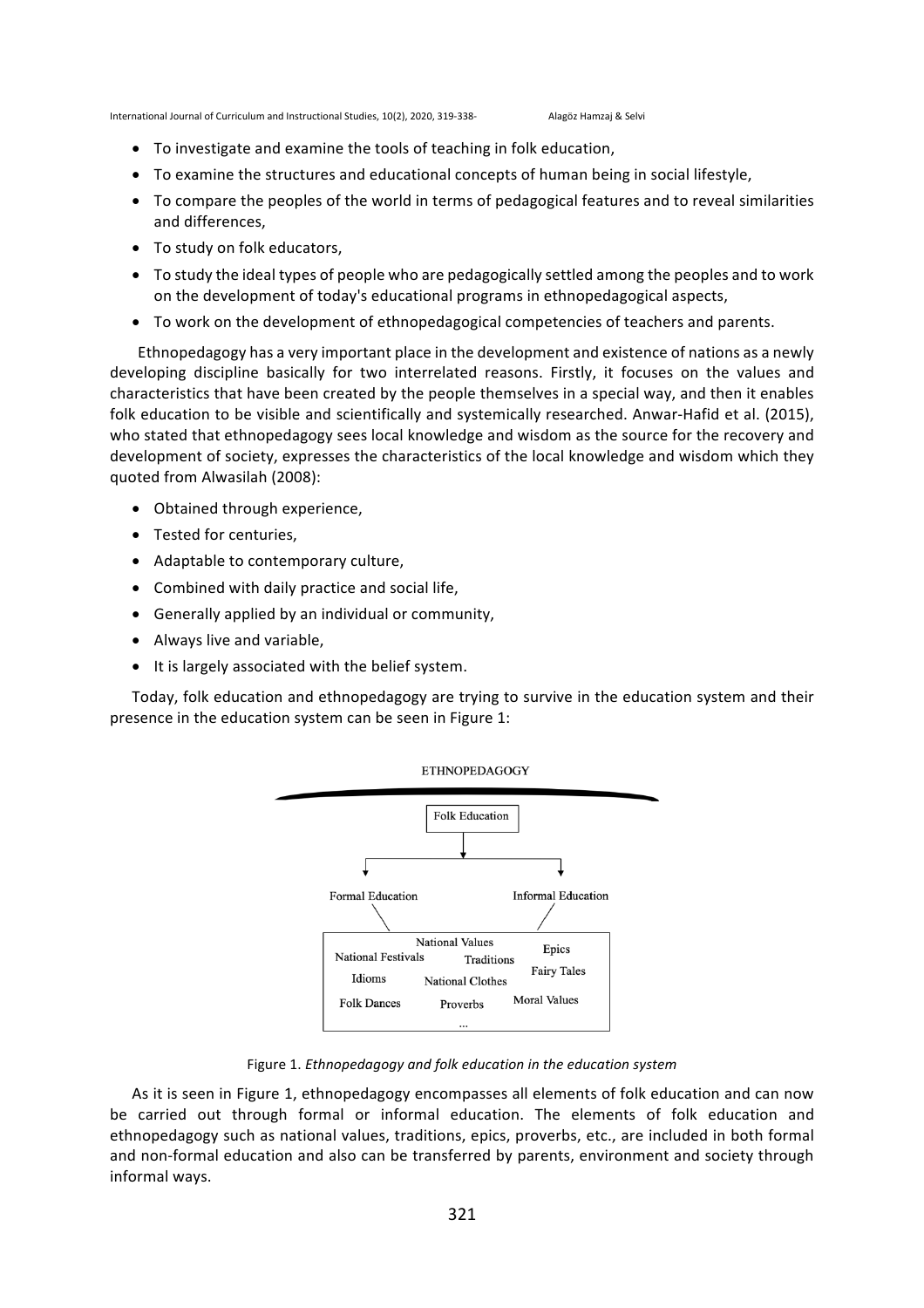- To investigate and examine the tools of teaching in folk education,
- To examine the structures and educational concepts of human being in social lifestyle,
- To compare the peoples of the world in terms of pedagogical features and to reveal similarities and differences,
- To study on folk educators,
- To study the ideal types of people who are pedagogically settled among the peoples and to work on the development of today's educational programs in ethnopedagogical aspects,
- To work on the development of ethnopedagogical competencies of teachers and parents.

Ethnopedagogy has a very important place in the development and existence of nations as a newly developing discipline basically for two interrelated reasons. Firstly, it focuses on the values and characteristics that have been created by the people themselves in a special way, and then it enables folk education to be visible and scientifically and systemically researched. Anwar-Hafid et al. (2015), who stated that ethnopedagogy sees local knowledge and wisdom as the source for the recovery and development of society, expresses the characteristics of the local knowledge and wisdom which they quoted from Alwasilah (2008):

- Obtained through experience,
- Tested for centuries,
- Adaptable to contemporary culture,
- Combined with daily practice and social life.
- Generally applied by an individual or community,
- Always live and variable,
- It is largely associated with the belief system.

Today, folk education and ethnopedagogy are trying to survive in the education system and their presence in the education system can be seen in Figure 1:



Figure 1. *Ethnopedagogy and folk education in the education system* 

As it is seen in Figure 1, ethnopedagogy encompasses all elements of folk education and can now be carried out through formal or informal education. The elements of folk education and ethnopedagogy such as national values, traditions, epics, proverbs, etc., are included in both formal and non-formal education and also can be transferred by parents, environment and society through informal ways.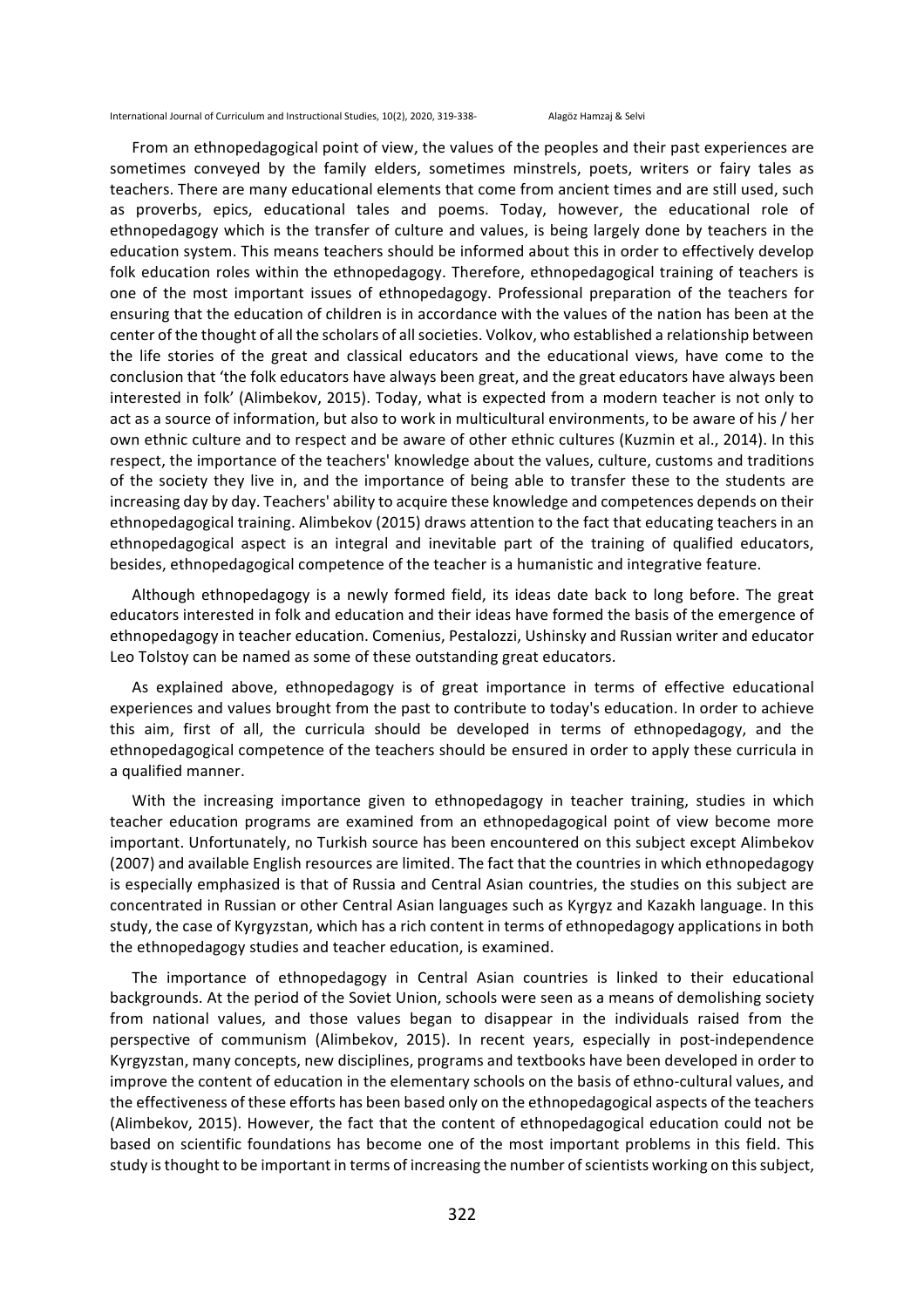From an ethnopedagogical point of view, the values of the peoples and their past experiences are sometimes conveyed by the family elders, sometimes minstrels, poets, writers or fairy tales as teachers. There are many educational elements that come from ancient times and are still used, such as proverbs, epics, educational tales and poems. Today, however, the educational role of ethnopedagogy which is the transfer of culture and values, is being largely done by teachers in the education system. This means teachers should be informed about this in order to effectively develop folk education roles within the ethnopedagogy. Therefore, ethnopedagogical training of teachers is one of the most important issues of ethnopedagogy. Professional preparation of the teachers for ensuring that the education of children is in accordance with the values of the nation has been at the center of the thought of all the scholars of all societies. Volkov, who established a relationship between the life stories of the great and classical educators and the educational views, have come to the conclusion that 'the folk educators have always been great, and the great educators have always been interested in folk' (Alimbekov, 2015). Today, what is expected from a modern teacher is not only to act as a source of information, but also to work in multicultural environments, to be aware of his / her own ethnic culture and to respect and be aware of other ethnic cultures (Kuzmin et al., 2014). In this respect, the importance of the teachers' knowledge about the values, culture, customs and traditions of the society they live in, and the importance of being able to transfer these to the students are increasing day by day. Teachers' ability to acquire these knowledge and competences depends on their ethnopedagogical training. Alimbekov (2015) draws attention to the fact that educating teachers in an ethnopedagogical aspect is an integral and inevitable part of the training of qualified educators, besides, ethnopedagogical competence of the teacher is a humanistic and integrative feature.

Although ethnopedagogy is a newly formed field, its ideas date back to long before. The great educators interested in folk and education and their ideas have formed the basis of the emergence of ethnopedagogy in teacher education. Comenius, Pestalozzi, Ushinsky and Russian writer and educator Leo Tolstoy can be named as some of these outstanding great educators.

As explained above, ethnopedagogy is of great importance in terms of effective educational experiences and values brought from the past to contribute to today's education. In order to achieve this aim, first of all, the curricula should be developed in terms of ethnopedagogy, and the ethnopedagogical competence of the teachers should be ensured in order to apply these curricula in a qualified manner.

With the increasing importance given to ethnopedagogy in teacher training, studies in which teacher education programs are examined from an ethnopedagogical point of view become more important. Unfortunately, no Turkish source has been encountered on this subject except Alimbekov (2007) and available English resources are limited. The fact that the countries in which ethnopedagogy is especially emphasized is that of Russia and Central Asian countries, the studies on this subject are concentrated in Russian or other Central Asian languages such as Kyrgyz and Kazakh language. In this study, the case of Kyrgyzstan, which has a rich content in terms of ethnopedagogy applications in both the ethnopedagogy studies and teacher education, is examined.

The importance of ethnopedagogy in Central Asian countries is linked to their educational backgrounds. At the period of the Soviet Union, schools were seen as a means of demolishing society from national values, and those values began to disappear in the individuals raised from the perspective of communism (Alimbekov, 2015). In recent years, especially in post-independence Kyrgyzstan, many concepts, new disciplines, programs and textbooks have been developed in order to improve the content of education in the elementary schools on the basis of ethno-cultural values, and the effectiveness of these efforts has been based only on the ethnopedagogical aspects of the teachers (Alimbekov, 2015). However, the fact that the content of ethnopedagogical education could not be based on scientific foundations has become one of the most important problems in this field. This study is thought to be important in terms of increasing the number of scientists working on this subject,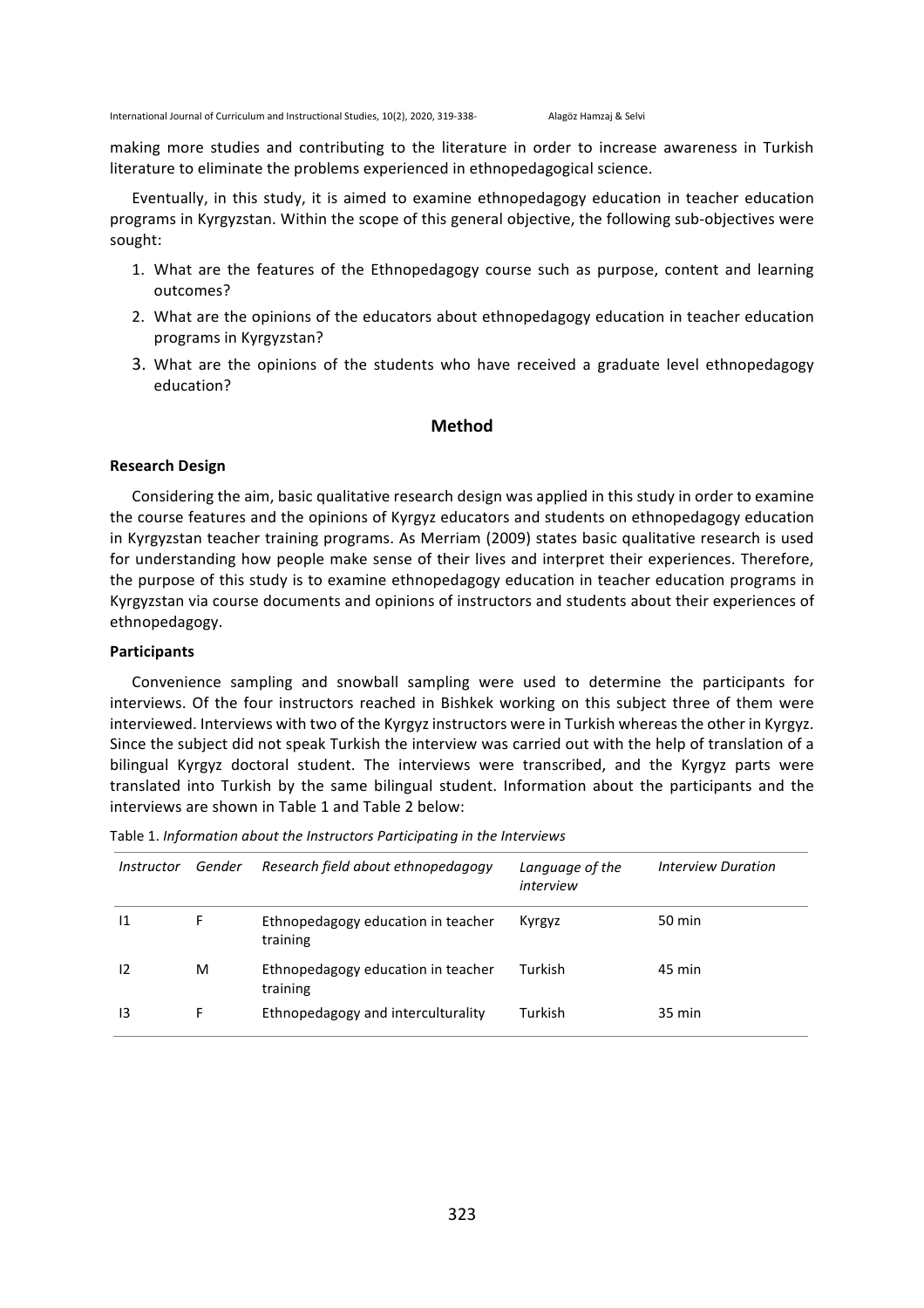making more studies and contributing to the literature in order to increase awareness in Turkish literature to eliminate the problems experienced in ethnopedagogical science.

Eventually, in this study, it is aimed to examine ethnopedagogy education in teacher education programs in Kyrgyzstan. Within the scope of this general objective, the following sub-objectives were sought:

- 1. What are the features of the Ethnopedagogy course such as purpose, content and learning outcomes?
- 2. What are the opinions of the educators about ethnopedagogy education in teacher education programs in Kyrgyzstan?
- 3. What are the opinions of the students who have received a graduate level ethnopedagogy education?

## **Method**

## **Research Design**

Considering the aim, basic qualitative research design was applied in this study in order to examine the course features and the opinions of Kyrgyz educators and students on ethnopedagogy education in Kyrgyzstan teacher training programs. As Merriam (2009) states basic qualitative research is used for understanding how people make sense of their lives and interpret their experiences. Therefore, the purpose of this study is to examine ethnopedagogy education in teacher education programs in Kyrgyzstan via course documents and opinions of instructors and students about their experiences of ethnopedagogy. 

#### **Participants**

Convenience sampling and snowball sampling were used to determine the participants for interviews. Of the four instructors reached in Bishkek working on this subject three of them were interviewed. Interviews with two of the Kyrgyz instructors were in Turkish whereas the other in Kyrgyz. Since the subject did not speak Turkish the interview was carried out with the help of translation of a bilingual Kyrgyz doctoral student. The interviews were transcribed, and the Kyrgyz parts were translated into Turkish by the same bilingual student. Information about the participants and the interviews are shown in Table 1 and Table 2 below:

| <i>Instructor</i> | Gender | Research field about ethnopedagogy             | Language of the<br>interview | <b>Interview Duration</b> |
|-------------------|--------|------------------------------------------------|------------------------------|---------------------------|
| 11                | F      | Ethnopedagogy education in teacher<br>training | Kyrgyz                       | 50 min                    |
| 12                | м      | Ethnopedagogy education in teacher<br>training | Turkish                      | 45 min                    |
| 13                | F      | Ethnopedagogy and interculturality             | Turkish                      | $35 \text{ min}$          |

Table 1. Information about the Instructors Participating in the Interviews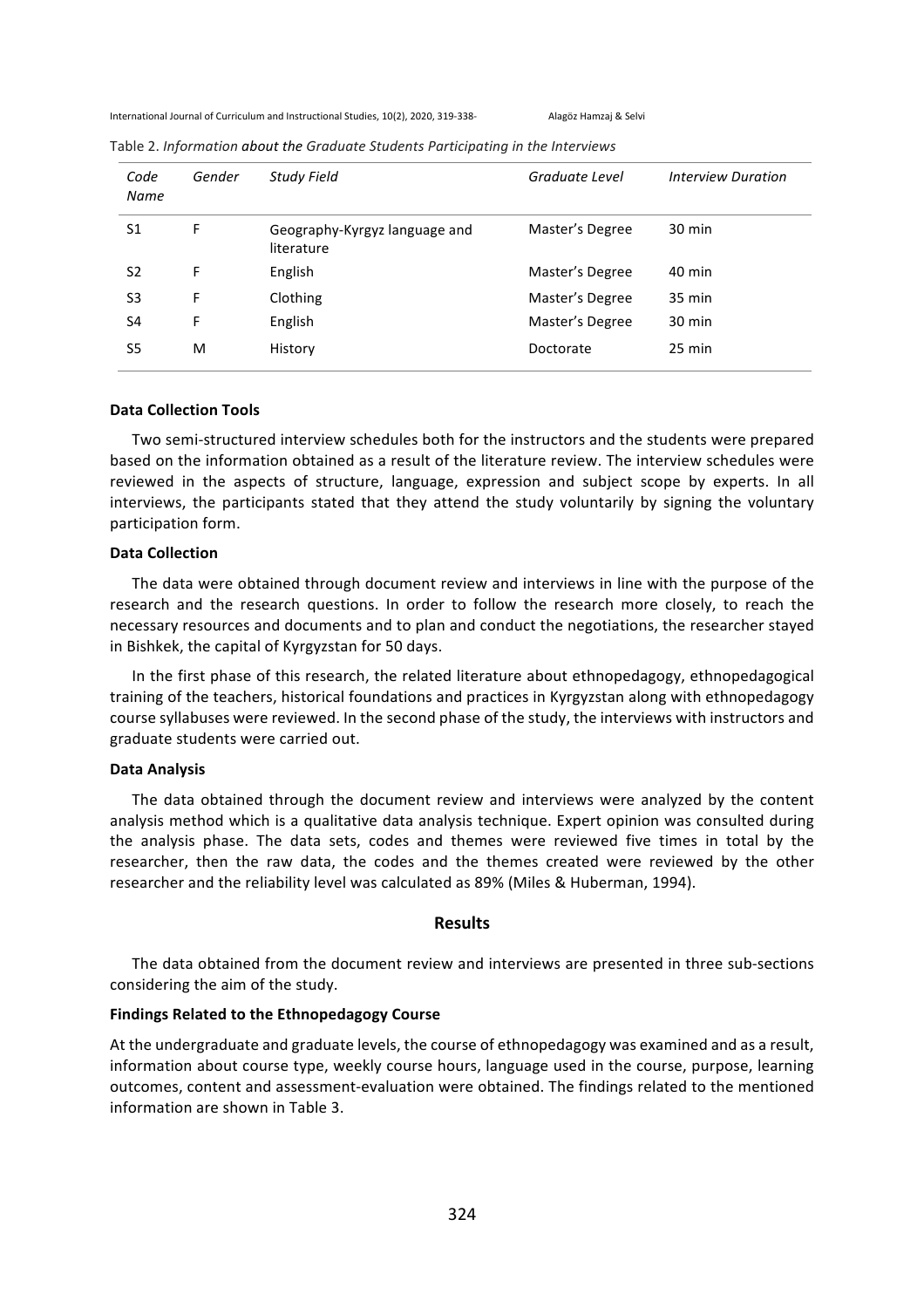| Code<br>Name | Gender | <b>Study Field</b>                          | Graduate Level  | <b>Interview Duration</b> |
|--------------|--------|---------------------------------------------|-----------------|---------------------------|
| S1           | F      | Geography-Kyrgyz language and<br>literature | Master's Degree | 30 min                    |
| S2           | F      | English                                     | Master's Degree | 40 min                    |
| S3           | F      | Clothing                                    | Master's Degree | $35 \text{ min}$          |
| S4           | F      | English                                     | Master's Degree | 30 min                    |
| S5           | M      | History                                     | Doctorate       | 25 min                    |

Table 2. *Information about the Graduate Students Participating in the Interviews* 

#### **Data Collection Tools**

Two semi-structured interview schedules both for the instructors and the students were prepared based on the information obtained as a result of the literature review. The interview schedules were reviewed in the aspects of structure, language, expression and subject scope by experts. In all interviews, the participants stated that they attend the study voluntarily by signing the voluntary participation form.

## **Data Collection**

The data were obtained through document review and interviews in line with the purpose of the research and the research questions. In order to follow the research more closely, to reach the necessary resources and documents and to plan and conduct the negotiations, the researcher stayed in Bishkek, the capital of Kyrgyzstan for 50 days.

In the first phase of this research, the related literature about ethnopedagogy, ethnopedagogical training of the teachers, historical foundations and practices in Kyrgyzstan along with ethnopedagogy course syllabuses were reviewed. In the second phase of the study, the interviews with instructors and graduate students were carried out.

#### **Data Analysis**

The data obtained through the document review and interviews were analyzed by the content analysis method which is a qualitative data analysis technique. Expert opinion was consulted during the analysis phase. The data sets, codes and themes were reviewed five times in total by the researcher, then the raw data, the codes and the themes created were reviewed by the other researcher and the reliability level was calculated as 89% (Miles & Huberman, 1994).

## **Results**

The data obtained from the document review and interviews are presented in three sub-sections considering the aim of the study.

## **Findings Related to the Ethnopedagogy Course**

At the undergraduate and graduate levels, the course of ethnopedagogy was examined and as a result, information about course type, weekly course hours, language used in the course, purpose, learning outcomes, content and assessment-evaluation were obtained. The findings related to the mentioned information are shown in Table 3.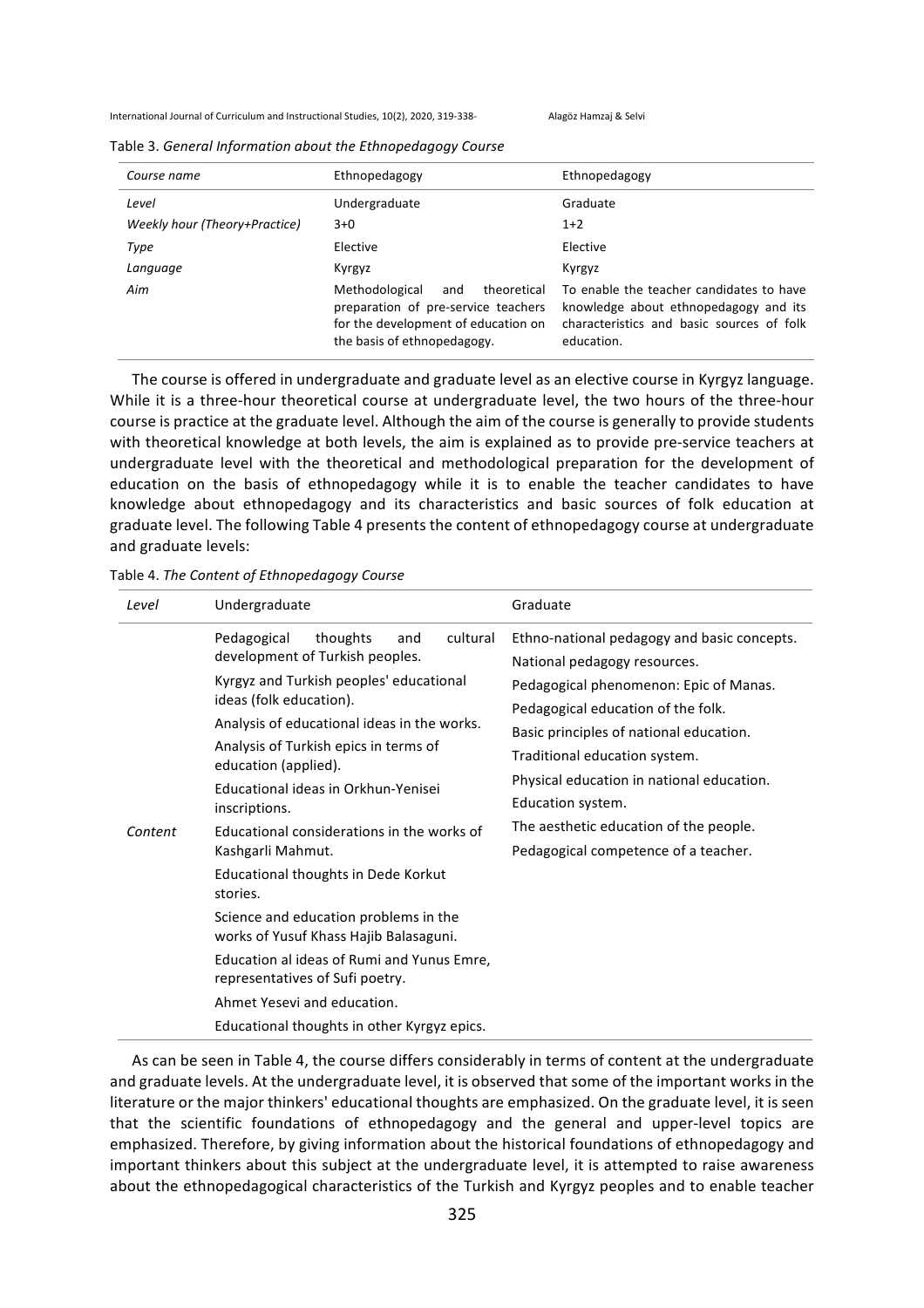| Course name                   | Ethnopedagogy                                                                                                                                     | Ethnopedagogy                                                                                                                                |
|-------------------------------|---------------------------------------------------------------------------------------------------------------------------------------------------|----------------------------------------------------------------------------------------------------------------------------------------------|
| Level                         | Undergraduate                                                                                                                                     | Graduate                                                                                                                                     |
| Weekly hour (Theory+Practice) | $3+0$                                                                                                                                             | $1+2$                                                                                                                                        |
| Type                          | Elective                                                                                                                                          | Elective                                                                                                                                     |
| Language                      | Kyrgyz                                                                                                                                            | Kyrgyz                                                                                                                                       |
| Aim                           | Methodological<br>theoretical<br>and<br>preparation of pre-service teachers<br>for the development of education on<br>the basis of ethnopedagogy. | To enable the teacher candidates to have<br>knowledge about ethnopedagogy and its<br>characteristics and basic sources of folk<br>education. |

| Table 3. General Information about the Ethnopedagogy Course |  |
|-------------------------------------------------------------|--|
|-------------------------------------------------------------|--|

The course is offered in undergraduate and graduate level as an elective course in Kyrgyz language. While it is a three-hour theoretical course at undergraduate level, the two hours of the three-hour course is practice at the graduate level. Although the aim of the course is generally to provide students with theoretical knowledge at both levels, the aim is explained as to provide pre-service teachers at undergraduate level with the theoretical and methodological preparation for the development of education on the basis of ethnopedagogy while it is to enable the teacher candidates to have knowledge about ethnopedagogy and its characteristics and basic sources of folk education at graduate level. The following Table 4 presents the content of ethnopedagogy course at undergraduate and graduate levels:

|  |  |  |  | Table 4. The Content of Ethnopedagogy Course |  |
|--|--|--|--|----------------------------------------------|--|
|--|--|--|--|----------------------------------------------|--|

| Level   | Undergraduate                                                                                                                                                                                                                                                                                                                                                                                                                                                                                                                                                                                                                                                                                              | Graduate                                                                                                                                                                                                                                                                                                                                                                                    |
|---------|------------------------------------------------------------------------------------------------------------------------------------------------------------------------------------------------------------------------------------------------------------------------------------------------------------------------------------------------------------------------------------------------------------------------------------------------------------------------------------------------------------------------------------------------------------------------------------------------------------------------------------------------------------------------------------------------------------|---------------------------------------------------------------------------------------------------------------------------------------------------------------------------------------------------------------------------------------------------------------------------------------------------------------------------------------------------------------------------------------------|
| Content | Pedagogical<br>thoughts<br>cultural<br>and<br>development of Turkish peoples.<br>Kyrgyz and Turkish peoples' educational<br>ideas (folk education).<br>Analysis of educational ideas in the works.<br>Analysis of Turkish epics in terms of<br>education (applied).<br>Educational ideas in Orkhun-Yenisei<br>inscriptions.<br>Educational considerations in the works of<br>Kashgarli Mahmut.<br><b>Educational thoughts in Dede Korkut</b><br>stories.<br>Science and education problems in the<br>works of Yusuf Khass Hajib Balasaguni.<br>Education al ideas of Rumi and Yunus Emre,<br>representatives of Sufi poetry.<br>Ahmet Yesevi and education.<br>Educational thoughts in other Kyrgyz epics. | Ethno-national pedagogy and basic concepts.<br>National pedagogy resources.<br>Pedagogical phenomenon: Epic of Manas.<br>Pedagogical education of the folk.<br>Basic principles of national education.<br>Traditional education system.<br>Physical education in national education.<br>Education system.<br>The aesthetic education of the people.<br>Pedagogical competence of a teacher. |

As can be seen in Table 4, the course differs considerably in terms of content at the undergraduate and graduate levels. At the undergraduate level, it is observed that some of the important works in the literature or the major thinkers' educational thoughts are emphasized. On the graduate level, it is seen that the scientific foundations of ethnopedagogy and the general and upper-level topics are emphasized. Therefore, by giving information about the historical foundations of ethnopedagogy and important thinkers about this subject at the undergraduate level, it is attempted to raise awareness about the ethnopedagogical characteristics of the Turkish and Kyrgyz peoples and to enable teacher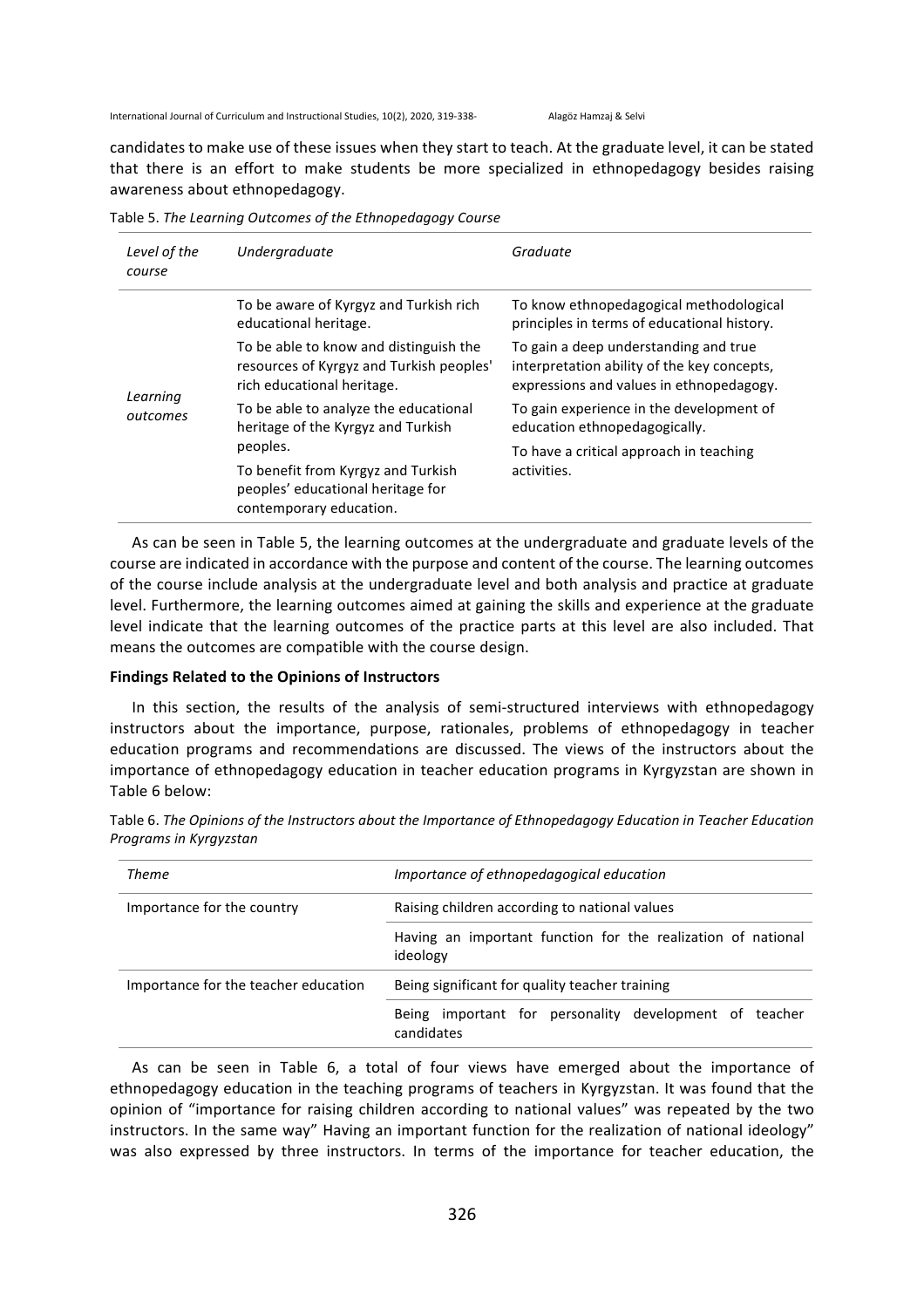candidates to make use of these issues when they start to teach. At the graduate level, it can be stated that there is an effort to make students be more specialized in ethnopedagogy besides raising awareness about ethnopedagogy.

| Level of the<br>course | Undergraduate                                                                                                    | Graduate                                                                                                                         |
|------------------------|------------------------------------------------------------------------------------------------------------------|----------------------------------------------------------------------------------------------------------------------------------|
|                        | To be aware of Kyrgyz and Turkish rich<br>educational heritage.                                                  | To know ethnopedagogical methodological<br>principles in terms of educational history.                                           |
| Learning<br>outcomes   | To be able to know and distinguish the<br>resources of Kyrgyz and Turkish peoples'<br>rich educational heritage. | To gain a deep understanding and true<br>interpretation ability of the key concepts,<br>expressions and values in ethnopedagogy. |
|                        | To be able to analyze the educational<br>heritage of the Kyrgyz and Turkish                                      | To gain experience in the development of<br>education ethnopedagogically.                                                        |
|                        | peoples.<br>To benefit from Kyrgyz and Turkish                                                                   | To have a critical approach in teaching<br>activities.                                                                           |
|                        | peoples' educational heritage for<br>contemporary education.                                                     |                                                                                                                                  |

Table 5. *The Learning Outcomes of the Ethnopedagogy Course* 

As can be seen in Table 5, the learning outcomes at the undergraduate and graduate levels of the course are indicated in accordance with the purpose and content of the course. The learning outcomes of the course include analysis at the undergraduate level and both analysis and practice at graduate level. Furthermore, the learning outcomes aimed at gaining the skills and experience at the graduate level indicate that the learning outcomes of the practice parts at this level are also included. That means the outcomes are compatible with the course design.

## **Findings Related to the Opinions of Instructors**

In this section, the results of the analysis of semi-structured interviews with ethnopedagogy instructors about the importance, purpose, rationales, problems of ethnopedagogy in teacher education programs and recommendations are discussed. The views of the instructors about the importance of ethnopedagogy education in teacher education programs in Kyrgyzstan are shown in Table 6 below:

| Theme                                | Importance of ethnopedagogical education                                 |  |  |
|--------------------------------------|--------------------------------------------------------------------------|--|--|
| Importance for the country           | Raising children according to national values                            |  |  |
|                                      | Having an important function for the realization of national<br>ideology |  |  |
| Importance for the teacher education | Being significant for quality teacher training                           |  |  |
|                                      | Being important for personality development of teacher<br>candidates     |  |  |

Table 6. The Opinions of the Instructors about the Importance of Ethnopedagogy Education in Teacher Education *Programs in Kyrgyzstan*

As can be seen in Table 6, a total of four views have emerged about the importance of ethnopedagogy education in the teaching programs of teachers in Kyrgyzstan. It was found that the opinion of "importance for raising children according to national values" was repeated by the two instructors. In the same way" Having an important function for the realization of national ideology" was also expressed by three instructors. In terms of the importance for teacher education, the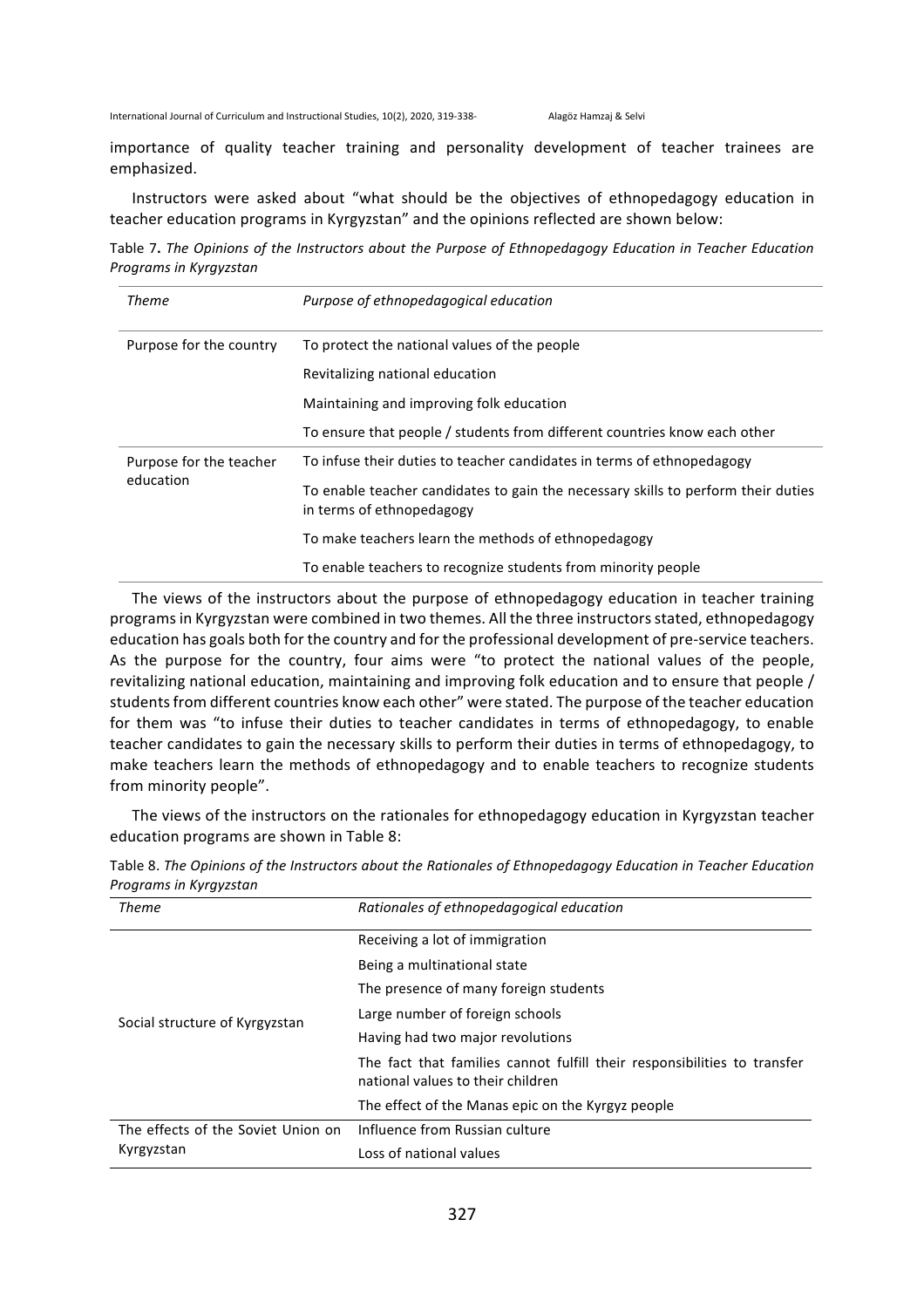importance of quality teacher training and personality development of teacher trainees are emphasized. 

Instructors were asked about "what should be the objectives of ethnopedagogy education in teacher education programs in Kyrgyzstan" and the opinions reflected are shown below:

Table 7. The Opinions of the Instructors about the Purpose of Ethnopedagogy Education in Teacher Education *Programs in Kyrgyzstan*

| <b>Theme</b>                         | Purpose of ethnopedagogical education                                                                          |
|--------------------------------------|----------------------------------------------------------------------------------------------------------------|
| Purpose for the country              | To protect the national values of the people                                                                   |
|                                      | Revitalizing national education                                                                                |
|                                      | Maintaining and improving folk education                                                                       |
|                                      | To ensure that people / students from different countries know each other                                      |
| Purpose for the teacher<br>education | To infuse their duties to teacher candidates in terms of ethnopedagogy                                         |
|                                      | To enable teacher candidates to gain the necessary skills to perform their duties<br>in terms of ethnopedagogy |
|                                      | To make teachers learn the methods of ethnopedagogy                                                            |
|                                      | To enable teachers to recognize students from minority people                                                  |

The views of the instructors about the purpose of ethnopedagogy education in teacher training programs in Kyrgyzstan were combined in two themes. All the three instructors stated, ethnopedagogy education has goals both for the country and for the professional development of pre-service teachers. As the purpose for the country, four aims were "to protect the national values of the people, revitalizing national education, maintaining and improving folk education and to ensure that people / students from different countries know each other" were stated. The purpose of the teacher education for them was "to infuse their duties to teacher candidates in terms of ethnopedagogy, to enable teacher candidates to gain the necessary skills to perform their duties in terms of ethnopedagogy, to make teachers learn the methods of ethnopedagogy and to enable teachers to recognize students from minority people".

The views of the instructors on the rationales for ethnopedagogy education in Kyrgyzstan teacher education programs are shown in Table 8:

| Theme                              | Rationales of ethnopedagogical education                                                                      |
|------------------------------------|---------------------------------------------------------------------------------------------------------------|
|                                    | Receiving a lot of immigration                                                                                |
|                                    | Being a multinational state                                                                                   |
|                                    | The presence of many foreign students                                                                         |
| Social structure of Kyrgyzstan     | Large number of foreign schools                                                                               |
|                                    | Having had two major revolutions                                                                              |
|                                    | The fact that families cannot fulfill their responsibilities to transfer<br>national values to their children |
|                                    | The effect of the Manas epic on the Kyrgyz people                                                             |
| The effects of the Soviet Union on | Influence from Russian culture                                                                                |
| Kyrgyzstan                         | Loss of national values                                                                                       |

Table 8. The Opinions of the Instructors about the Rationales of Ethnopedagogy Education in Teacher Education *Programs in Kyrgyzstan*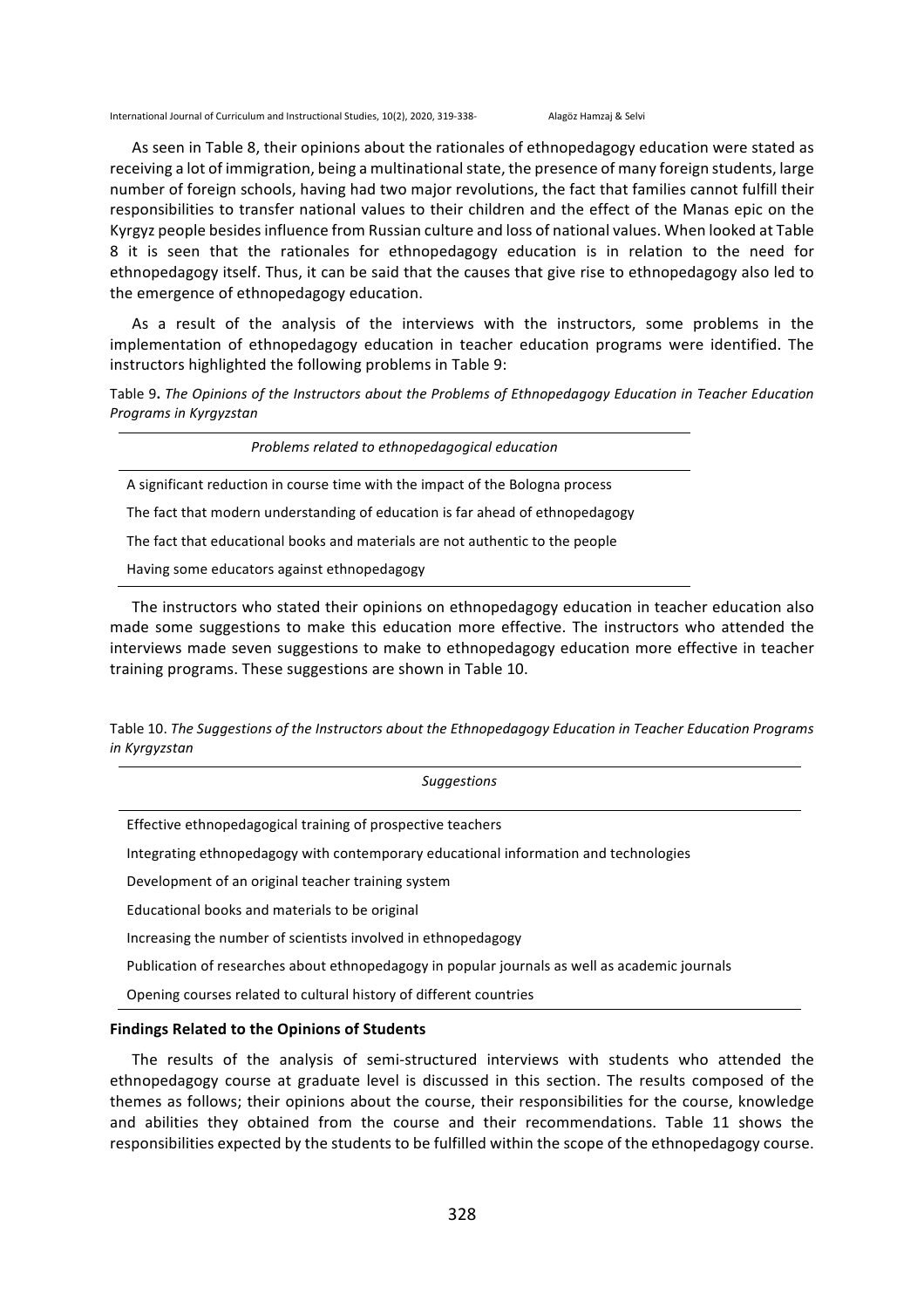As seen in Table 8, their opinions about the rationales of ethnopedagogy education were stated as receiving a lot of immigration, being a multinational state, the presence of many foreign students, large number of foreign schools, having had two major revolutions, the fact that families cannot fulfill their responsibilities to transfer national values to their children and the effect of the Manas epic on the Kyrgyz people besides influence from Russian culture and loss of national values. When looked at Table 8 it is seen that the rationales for ethnopedagogy education is in relation to the need for ethnopedagogy itself. Thus, it can be said that the causes that give rise to ethnopedagogy also led to the emergence of ethnopedagogy education.

As a result of the analysis of the interviews with the instructors, some problems in the implementation of ethnopedagogy education in teacher education programs were identified. The instructors highlighted the following problems in Table 9:

Table 9. The Opinions of the Instructors about the Problems of Ethnopedagogy Education in Teacher Education *Programs in Kyrgyzstan*

*Problems related to ethnopedagogical education*

A significant reduction in course time with the impact of the Bologna process

The fact that modern understanding of education is far ahead of ethnopedagogy

The fact that educational books and materials are not authentic to the people

Having some educators against ethnopedagogy

The instructors who stated their opinions on ethnopedagogy education in teacher education also made some suggestions to make this education more effective. The instructors who attended the interviews made seven suggestions to make to ethnopedagogy education more effective in teacher training programs. These suggestions are shown in Table 10.

Table 10. The Suggestions of the Instructors about the Ethnopedagogy Education in Teacher Education Programs *in Kyrgyzstan*

*Suggestions*

Effective ethnopedagogical training of prospective teachers

Integrating ethnopedagogy with contemporary educational information and technologies

Development of an original teacher training system

Educational books and materials to be original

Increasing the number of scientists involved in ethnopedagogy

Publication of researches about ethnopedagogy in popular journals as well as academic journals

Opening courses related to cultural history of different countries

#### **Findings Related to the Opinions of Students**

The results of the analysis of semi-structured interviews with students who attended the ethnopedagogy course at graduate level is discussed in this section. The results composed of the themes as follows; their opinions about the course, their responsibilities for the course, knowledge and abilities they obtained from the course and their recommendations. Table 11 shows the responsibilities expected by the students to be fulfilled within the scope of the ethnopedagogy course.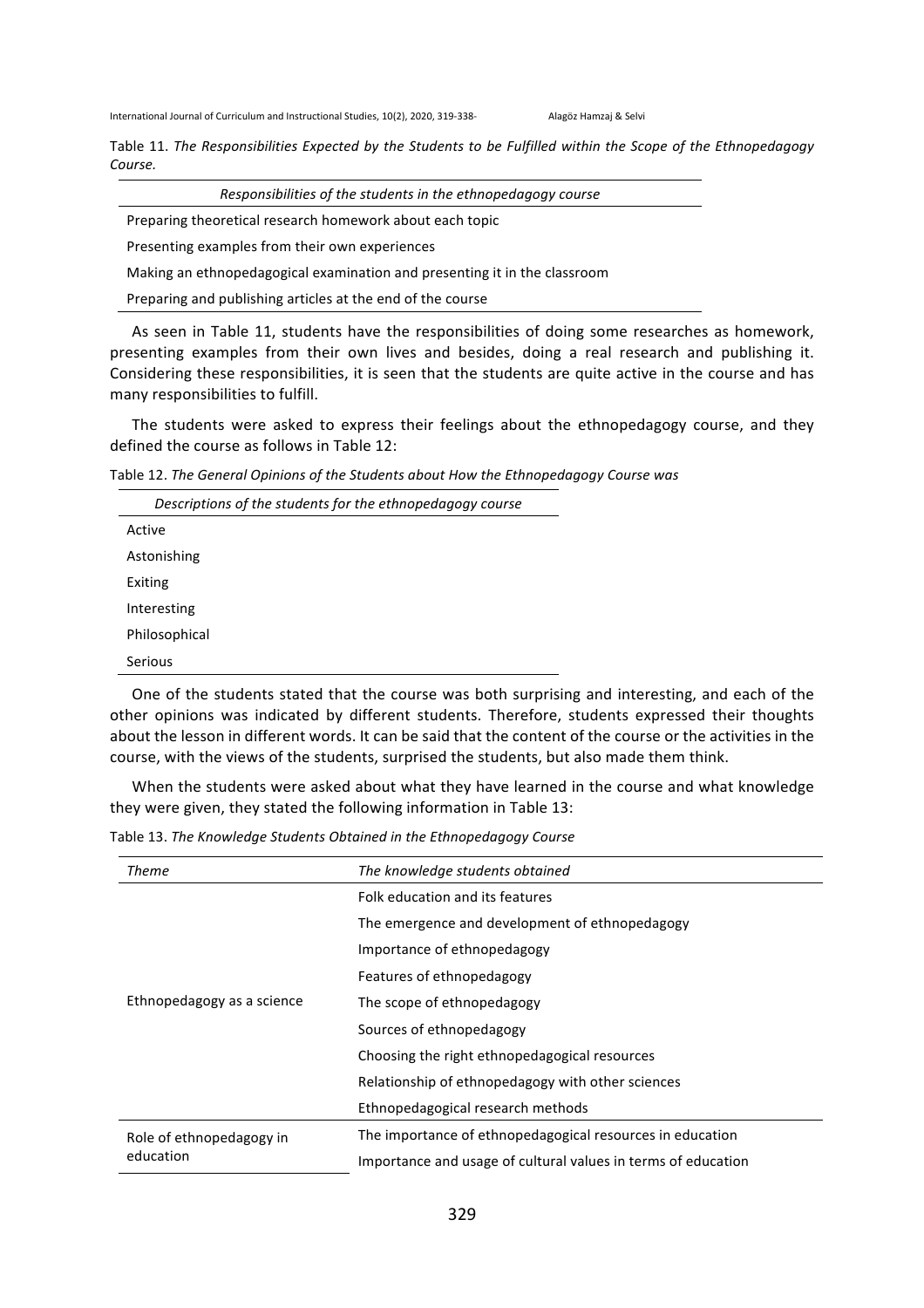Table 11. The Responsibilities Expected by the Students to be Fulfilled within the Scope of the Ethnopedagogy *Course.*

*Responsibilities of the students in the ethnopedagogy course* 

Preparing theoretical research homework about each topic

Presenting examples from their own experiences

Making an ethnopedagogical examination and presenting it in the classroom

Preparing and publishing articles at the end of the course

As seen in Table 11, students have the responsibilities of doing some researches as homework, presenting examples from their own lives and besides, doing a real research and publishing it. Considering these responsibilities, it is seen that the students are quite active in the course and has many responsibilities to fulfill.

The students were asked to express their feelings about the ethnopedagogy course, and they defined the course as follows in Table  $12$ :

Table 12. The General Opinions of the Students about How the Ethnopedagogy Course was

| Descriptions of the students for the ethnopedagogy course |
|-----------------------------------------------------------|
| Active                                                    |
| Astonishing                                               |
| Exiting                                                   |
| Interesting                                               |
| Philosophical                                             |
| <b>Serious</b>                                            |
|                                                           |

One of the students stated that the course was both surprising and interesting, and each of the other opinions was indicated by different students. Therefore, students expressed their thoughts about the lesson in different words. It can be said that the content of the course or the activities in the course, with the views of the students, surprised the students, but also made them think.

When the students were asked about what they have learned in the course and what knowledge they were given, they stated the following information in Table 13:

| Table 13. The Knowledge Students Obtained in the Ethnopedagogy Course |  |
|-----------------------------------------------------------------------|--|
|-----------------------------------------------------------------------|--|

| Theme                                 | The knowledge students obtained                               |
|---------------------------------------|---------------------------------------------------------------|
| Ethnopedagogy as a science            | Folk education and its features                               |
|                                       | The emergence and development of ethnopedagogy                |
|                                       | Importance of ethnopedagogy                                   |
|                                       | Features of ethnopedagogy                                     |
|                                       | The scope of ethnopedagogy                                    |
|                                       | Sources of ethnopedagogy                                      |
|                                       | Choosing the right ethnopedagogical resources                 |
|                                       | Relationship of ethnopedagogy with other sciences             |
|                                       | Ethnopedagogical research methods                             |
| Role of ethnopedagogy in<br>education | The importance of ethnopedagogical resources in education     |
|                                       | Importance and usage of cultural values in terms of education |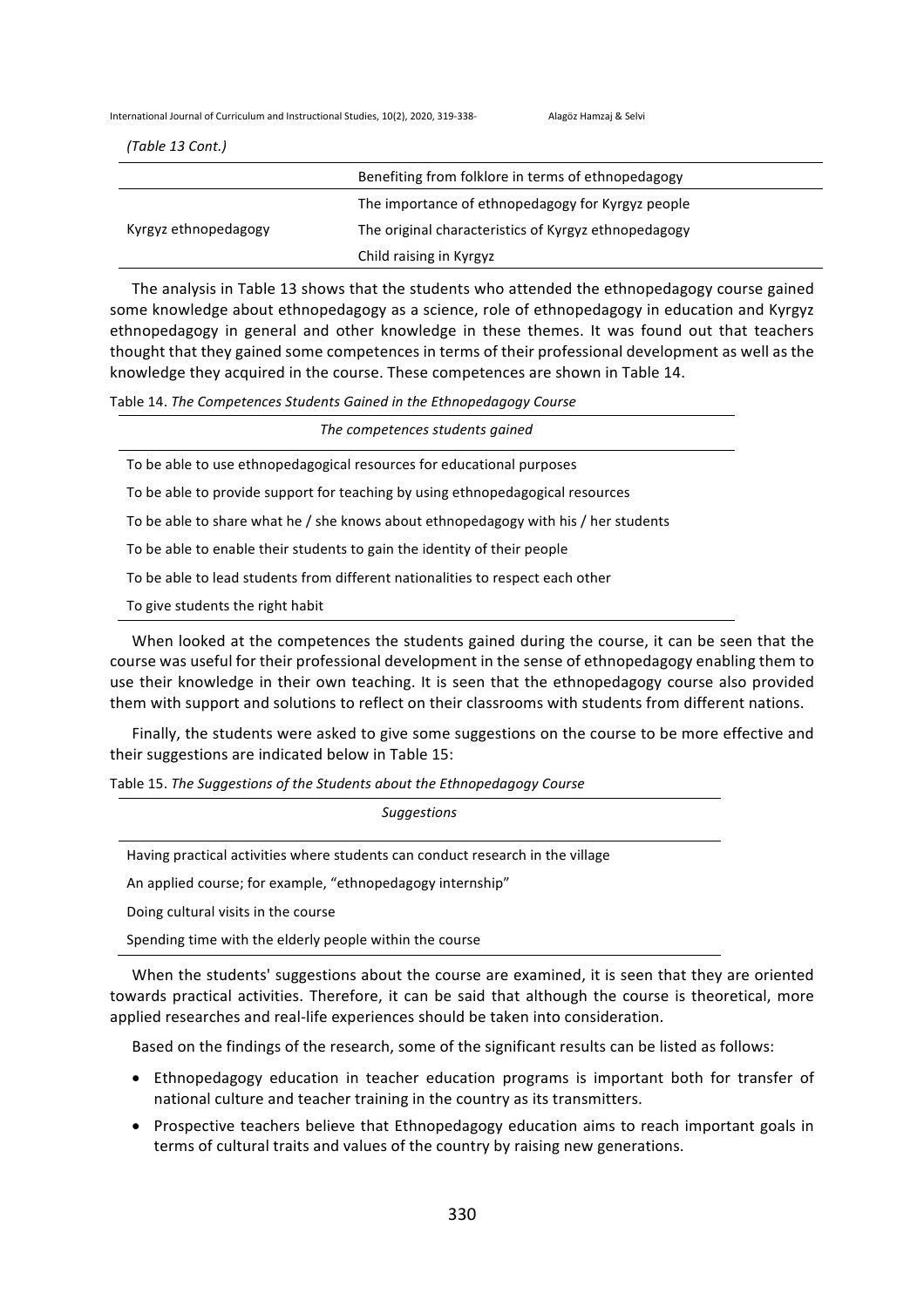| (Table 13 Cont.)     |                                                      |
|----------------------|------------------------------------------------------|
|                      | Benefiting from folklore in terms of ethnopedagogy   |
|                      | The importance of ethnopedagogy for Kyrgyz people    |
| Kyrgyz ethnopedagogy | The original characteristics of Kyrgyz ethnopedagogy |
|                      | Child raising in Kyrgyz                              |

The analysis in Table 13 shows that the students who attended the ethnopedagogy course gained some knowledge about ethnopedagogy as a science, role of ethnopedagogy in education and Kyrgyz ethnopedagogy in general and other knowledge in these themes. It was found out that teachers thought that they gained some competences in terms of their professional development as well as the knowledge they acquired in the course. These competences are shown in Table 14.

Table 14. *The Competences Students Gained in the Ethnopedagogy Course* 

| The competences students gained                                                     |
|-------------------------------------------------------------------------------------|
| To be able to use ethnopedagogical resources for educational purposes               |
| To be able to provide support for teaching by using ethnopedagogical resources      |
| To be able to share what he / she knows about ethnopedagogy with his / her students |
| To be able to enable their students to gain the identity of their people            |
| To be able to lead students from different nationalities to respect each other      |

To give students the right habit

When looked at the competences the students gained during the course, it can be seen that the course was useful for their professional development in the sense of ethnopedagogy enabling them to use their knowledge in their own teaching. It is seen that the ethnopedagogy course also provided them with support and solutions to reflect on their classrooms with students from different nations.

Finally, the students were asked to give some suggestions on the course to be more effective and their suggestions are indicated below in Table 15:

Table 15. *The Suggestions of the Students about the Ethnopedagogy Course* 

*Suggestions*

Having practical activities where students can conduct research in the village

An applied course; for example, "ethnopedagogy internship"

Doing cultural visits in the course

Spending time with the elderly people within the course

When the students' suggestions about the course are examined, it is seen that they are oriented towards practical activities. Therefore, it can be said that although the course is theoretical, more applied researches and real-life experiences should be taken into consideration.

Based on the findings of the research, some of the significant results can be listed as follows:

- Ethnopedagogy education in teacher education programs is important both for transfer of national culture and teacher training in the country as its transmitters.
- Prospective teachers believe that Ethnopedagogy education aims to reach important goals in terms of cultural traits and values of the country by raising new generations.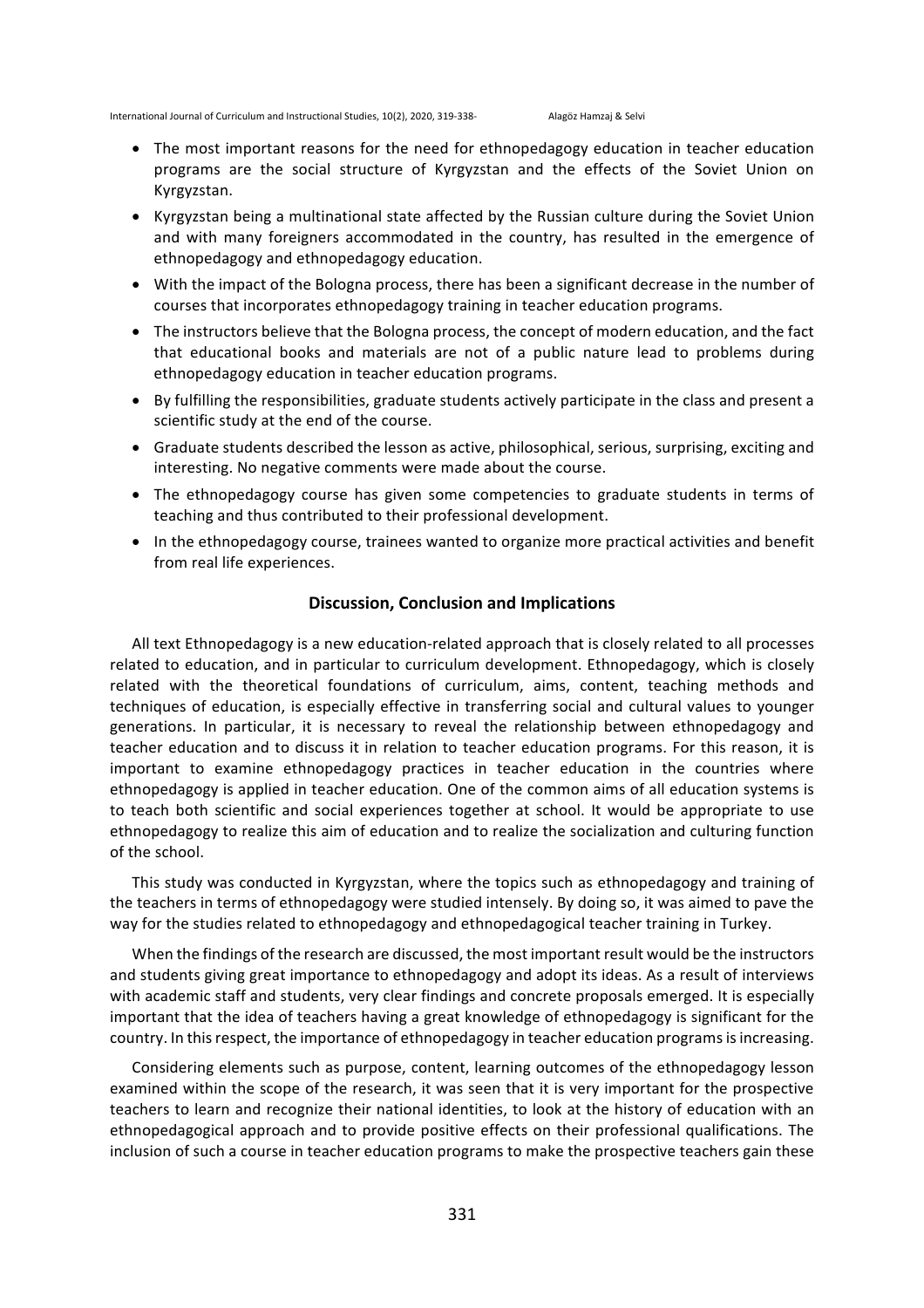- The most important reasons for the need for ethnopedagogy education in teacher education programs are the social structure of Kyrgyzstan and the effects of the Soviet Union on Kyrgyzstan.
- Kyrgyzstan being a multinational state affected by the Russian culture during the Soviet Union and with many foreigners accommodated in the country, has resulted in the emergence of ethnopedagogy and ethnopedagogy education.
- With the impact of the Bologna process, there has been a significant decrease in the number of courses that incorporates ethnopedagogy training in teacher education programs.
- The instructors believe that the Bologna process, the concept of modern education, and the fact that educational books and materials are not of a public nature lead to problems during ethnopedagogy education in teacher education programs.
- By fulfilling the responsibilities, graduate students actively participate in the class and present a scientific study at the end of the course.
- Graduate students described the lesson as active, philosophical, serious, surprising, exciting and interesting. No negative comments were made about the course.
- The ethnopedagogy course has given some competencies to graduate students in terms of teaching and thus contributed to their professional development.
- In the ethnopedagogy course, trainees wanted to organize more practical activities and benefit from real life experiences.

## **Discussion, Conclusion and Implications**

All text Ethnopedagogy is a new education-related approach that is closely related to all processes related to education, and in particular to curriculum development. Ethnopedagogy, which is closely related with the theoretical foundations of curriculum, aims, content, teaching methods and techniques of education, is especially effective in transferring social and cultural values to younger generations. In particular, it is necessary to reveal the relationship between ethnopedagogy and teacher education and to discuss it in relation to teacher education programs. For this reason, it is important to examine ethnopedagogy practices in teacher education in the countries where ethnopedagogy is applied in teacher education. One of the common aims of all education systems is to teach both scientific and social experiences together at school. It would be appropriate to use ethnopedagogy to realize this aim of education and to realize the socialization and culturing function of the school.

This study was conducted in Kyrgyzstan, where the topics such as ethnopedagogy and training of the teachers in terms of ethnopedagogy were studied intensely. By doing so, it was aimed to pave the way for the studies related to ethnopedagogy and ethnopedagogical teacher training in Turkey.

When the findings of the research are discussed, the most important result would be the instructors and students giving great importance to ethnopedagogy and adopt its ideas. As a result of interviews with academic staff and students, very clear findings and concrete proposals emerged. It is especially important that the idea of teachers having a great knowledge of ethnopedagogy is significant for the country. In this respect, the importance of ethnopedagogy in teacher education programs is increasing.

Considering elements such as purpose, content, learning outcomes of the ethnopedagogy lesson examined within the scope of the research, it was seen that it is very important for the prospective teachers to learn and recognize their national identities, to look at the history of education with an ethnopedagogical approach and to provide positive effects on their professional qualifications. The inclusion of such a course in teacher education programs to make the prospective teachers gain these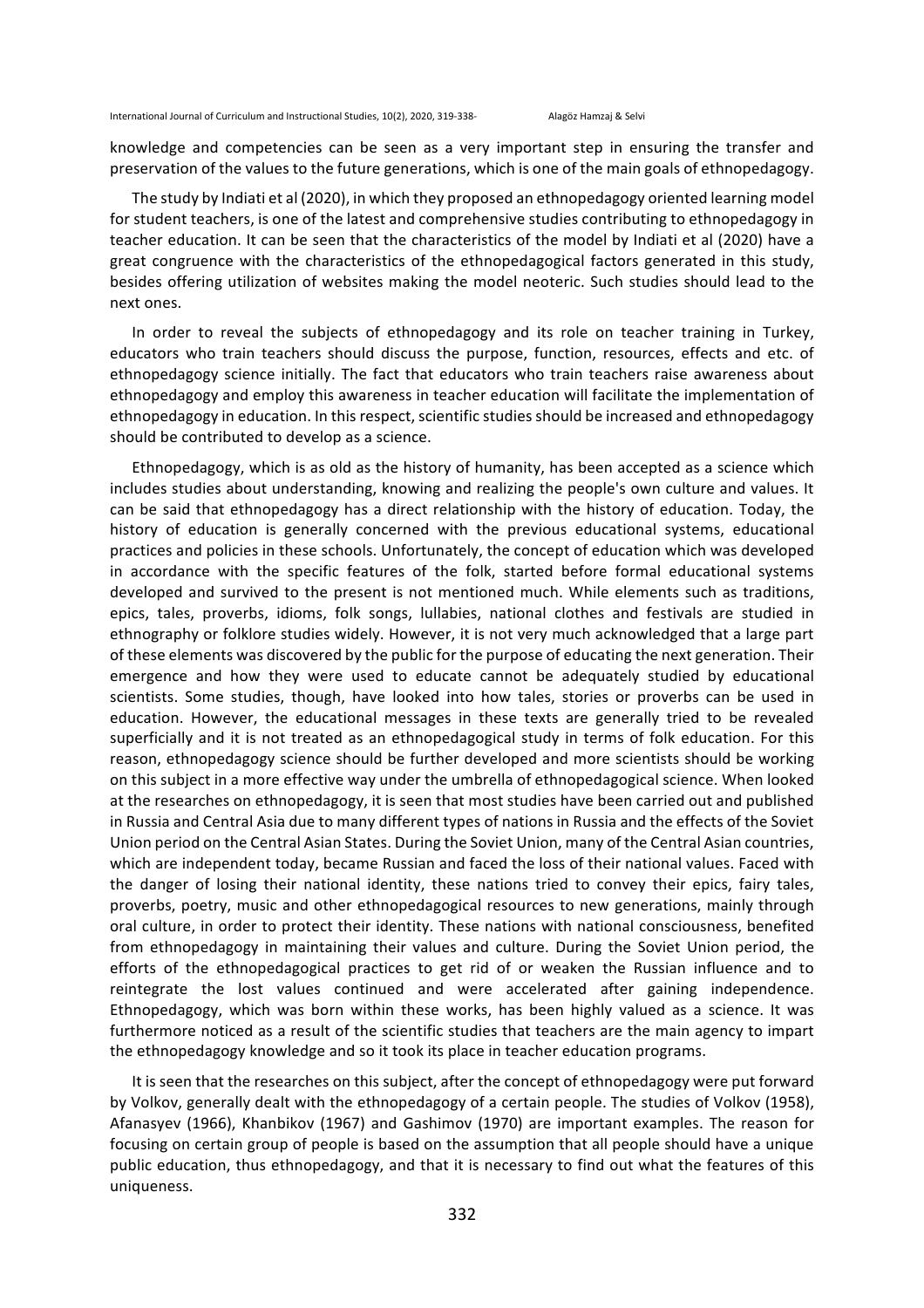knowledge and competencies can be seen as a very important step in ensuring the transfer and preservation of the values to the future generations, which is one of the main goals of ethnopedagogy.

The study by Indiati et al (2020), in which they proposed an ethnopedagogy oriented learning model for student teachers, is one of the latest and comprehensive studies contributing to ethnopedagogy in teacher education. It can be seen that the characteristics of the model by Indiati et al (2020) have a great congruence with the characteristics of the ethnopedagogical factors generated in this study, besides offering utilization of websites making the model neoteric. Such studies should lead to the next ones.

In order to reveal the subjects of ethnopedagogy and its role on teacher training in Turkey, educators who train teachers should discuss the purpose, function, resources, effects and etc. of ethnopedagogy science initially. The fact that educators who train teachers raise awareness about ethnopedagogy and employ this awareness in teacher education will facilitate the implementation of ethnopedagogy in education. In this respect, scientific studies should be increased and ethnopedagogy should be contributed to develop as a science.

Ethnopedagogy, which is as old as the history of humanity, has been accepted as a science which includes studies about understanding, knowing and realizing the people's own culture and values. It can be said that ethnopedagogy has a direct relationship with the history of education. Today, the history of education is generally concerned with the previous educational systems, educational practices and policies in these schools. Unfortunately, the concept of education which was developed in accordance with the specific features of the folk, started before formal educational systems developed and survived to the present is not mentioned much. While elements such as traditions, epics, tales, proverbs, idioms, folk songs, lullabies, national clothes and festivals are studied in ethnography or folklore studies widely. However, it is not very much acknowledged that a large part of these elements was discovered by the public for the purpose of educating the next generation. Their emergence and how they were used to educate cannot be adequately studied by educational scientists. Some studies, though, have looked into how tales, stories or proverbs can be used in education. However, the educational messages in these texts are generally tried to be revealed superficially and it is not treated as an ethnopedagogical study in terms of folk education. For this reason, ethnopedagogy science should be further developed and more scientists should be working on this subject in a more effective way under the umbrella of ethnopedagogical science. When looked at the researches on ethnopedagogy, it is seen that most studies have been carried out and published in Russia and Central Asia due to many different types of nations in Russia and the effects of the Soviet Union period on the Central Asian States. During the Soviet Union, many of the Central Asian countries, which are independent today, became Russian and faced the loss of their national values. Faced with the danger of losing their national identity, these nations tried to convey their epics, fairy tales, proverbs, poetry, music and other ethnopedagogical resources to new generations, mainly through oral culture, in order to protect their identity. These nations with national consciousness, benefited from ethnopedagogy in maintaining their values and culture. During the Soviet Union period, the efforts of the ethnopedagogical practices to get rid of or weaken the Russian influence and to reintegrate the lost values continued and were accelerated after gaining independence. Ethnopedagogy, which was born within these works, has been highly valued as a science. It was furthermore noticed as a result of the scientific studies that teachers are the main agency to impart the ethnopedagogy knowledge and so it took its place in teacher education programs.

It is seen that the researches on this subject, after the concept of ethnopedagogy were put forward by Volkov, generally dealt with the ethnopedagogy of a certain people. The studies of Volkov (1958), Afanasyev (1966), Khanbikov (1967) and Gashimov (1970) are important examples. The reason for focusing on certain group of people is based on the assumption that all people should have a unique public education, thus ethnopedagogy, and that it is necessary to find out what the features of this uniqueness.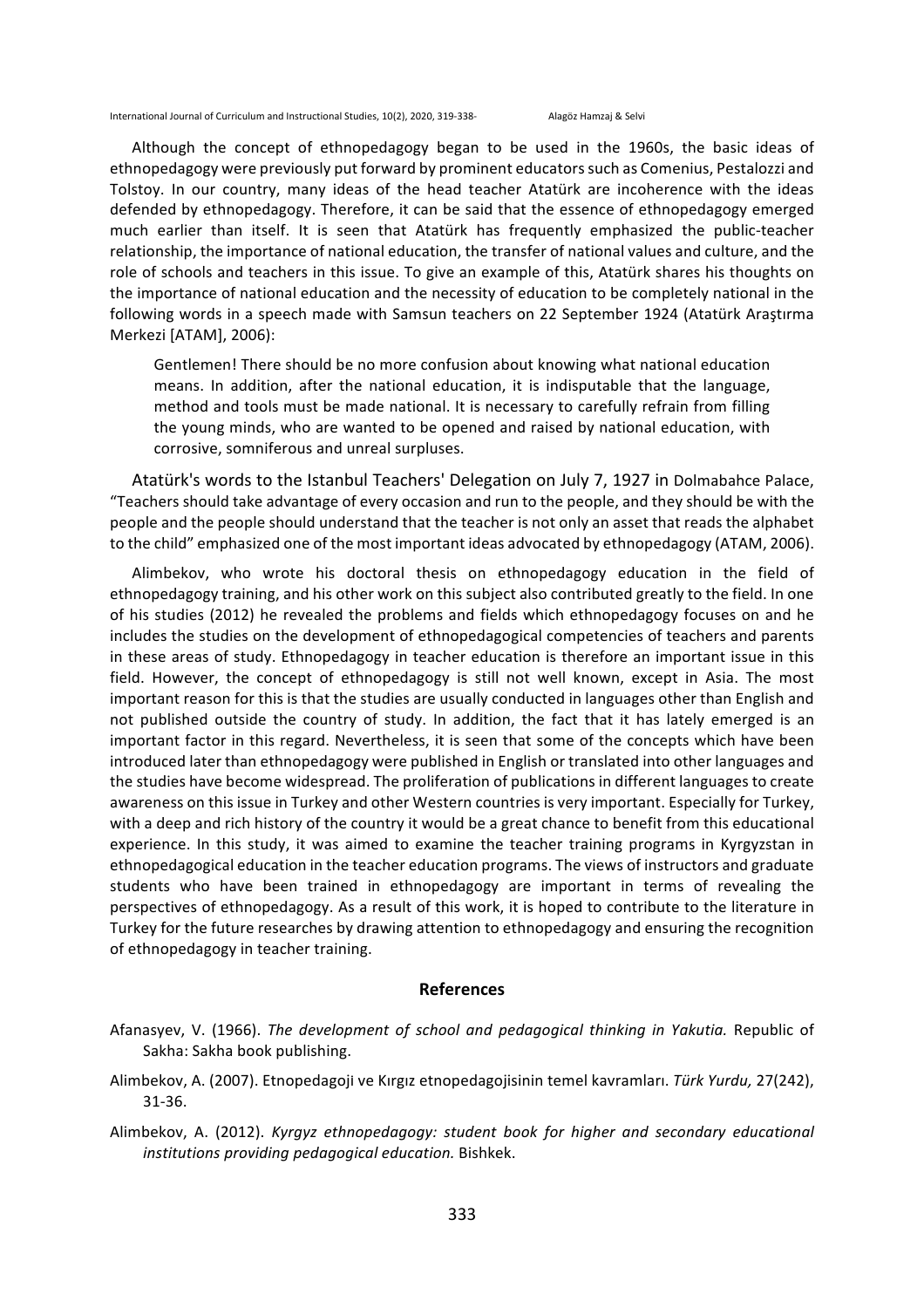Although the concept of ethnopedagogy began to be used in the 1960s, the basic ideas of ethnopedagogy were previously put forward by prominent educators such as Comenius, Pestalozzi and Tolstoy. In our country, many ideas of the head teacher Atatürk are incoherence with the ideas defended by ethnopedagogy. Therefore, it can be said that the essence of ethnopedagogy emerged much earlier than itself. It is seen that Atatürk has frequently emphasized the public-teacher relationship, the importance of national education, the transfer of national values and culture, and the role of schools and teachers in this issue. To give an example of this, Atatürk shares his thoughts on the importance of national education and the necessity of education to be completely national in the following words in a speech made with Samsun teachers on 22 September 1924 (Atatürk Araştırma Merkezi [ATAM], 2006):

Gentlemen! There should be no more confusion about knowing what national education means. In addition, after the national education, it is indisputable that the language, method and tools must be made national. It is necessary to carefully refrain from filling the young minds, who are wanted to be opened and raised by national education, with corrosive, somniferous and unreal surpluses.

Atatürk's words to the Istanbul Teachers' Delegation on July 7, 1927 in Dolmabahce Palace, "Teachers should take advantage of every occasion and run to the people, and they should be with the people and the people should understand that the teacher is not only an asset that reads the alphabet to the child" emphasized one of the most important ideas advocated by ethnopedagogy (ATAM, 2006).

Alimbekov, who wrote his doctoral thesis on ethnopedagogy education in the field of ethnopedagogy training, and his other work on this subject also contributed greatly to the field. In one of his studies (2012) he revealed the problems and fields which ethnopedagogy focuses on and he includes the studies on the development of ethnopedagogical competencies of teachers and parents in these areas of study. Ethnopedagogy in teacher education is therefore an important issue in this field. However, the concept of ethnopedagogy is still not well known, except in Asia. The most important reason for this is that the studies are usually conducted in languages other than English and not published outside the country of study. In addition, the fact that it has lately emerged is an important factor in this regard. Nevertheless, it is seen that some of the concepts which have been introduced later than ethnopedagogy were published in English or translated into other languages and the studies have become widespread. The proliferation of publications in different languages to create awareness on this issue in Turkey and other Western countries is very important. Especially for Turkey, with a deep and rich history of the country it would be a great chance to benefit from this educational experience. In this study, it was aimed to examine the teacher training programs in Kyrgyzstan in ethnopedagogical education in the teacher education programs. The views of instructors and graduate students who have been trained in ethnopedagogy are important in terms of revealing the perspectives of ethnopedagogy. As a result of this work, it is hoped to contribute to the literature in Turkey for the future researches by drawing attention to ethnopedagogy and ensuring the recognition of ethnopedagogy in teacher training.

#### **References**

- Afanasyev, V. (1966). *The development of school and pedagogical thinking in Yakutia.* Republic of Sakha: Sakha book publishing.
- Alimbekov, A. (2007). Etnopedagojı ̇ve Kırgız etnopedagojisinin temel kavramları. *Türk Yurdu,* 27(242), 31-36.
- Alimbekov, A. (2012). *Kyrgyz ethnopedagogy: student book for higher and secondary educational* institutions providing pedagogical education. Bishkek.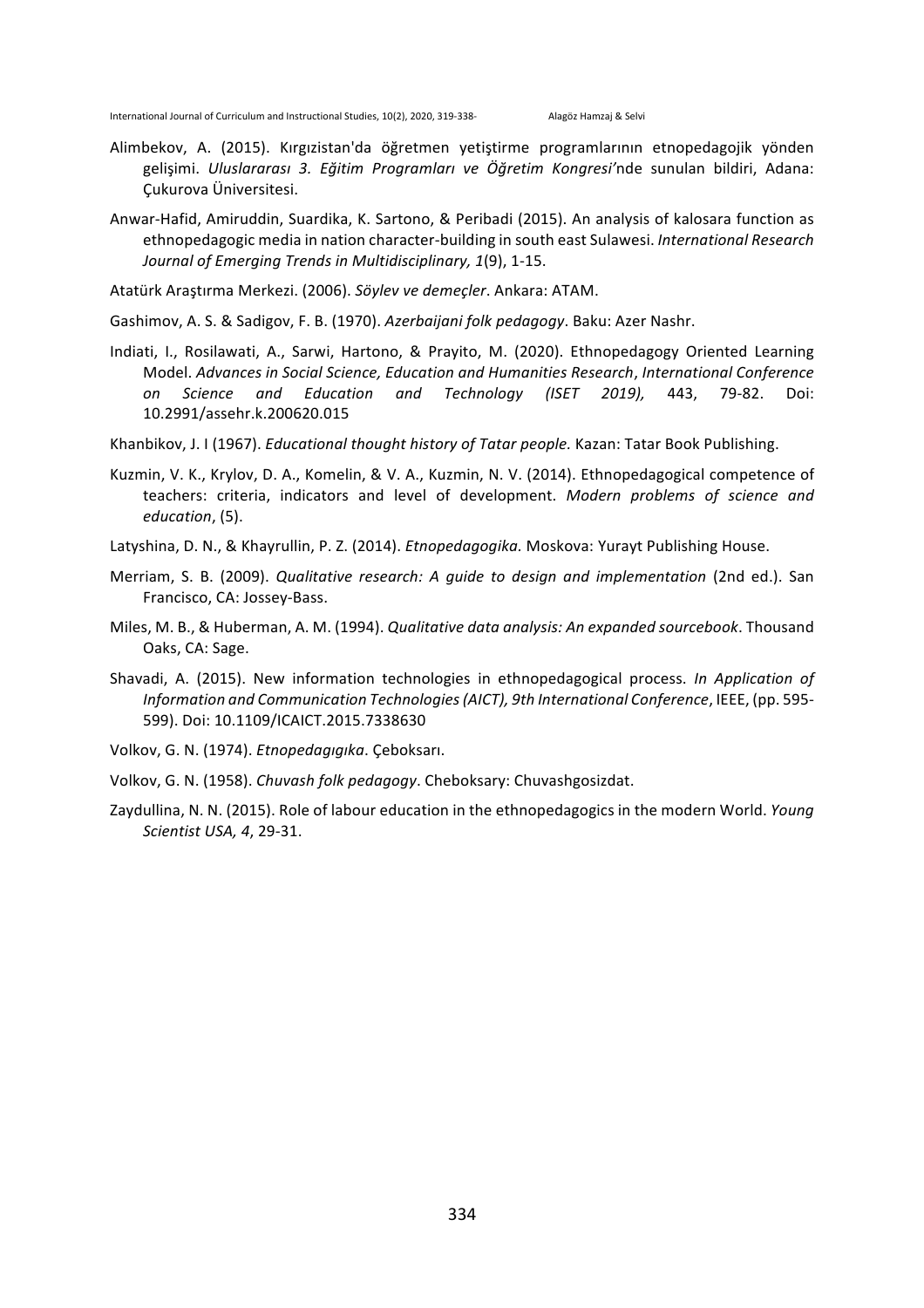- Alimbekov, A. (2015). Kırgızistan'da öğretmen yetiştirme programlarının etnopedagojik yönden gelişimi. *Uluslararası 3. Eğitim Programları ve Öğretim Kongresi'nde sunulan bildiri, Adana:* Çukurova Üniversitesi.
- Anwar-Hafid, Amiruddin, Suardika, K. Sartono, & Peribadi (2015). An analysis of kalosara function as ethnopedagogic media in nation character-building in south east Sulawesi. *International Research* Journal of Emerging Trends in Multidisciplinary, 1(9), 1-15.
- Atatürk Araştırma Merkezi. (2006). *Söylev ve demeçler*. Ankara: ATAM.
- Gashimov, A. S. & Sadigov, F. B. (1970). *Azerbaijani folk pedagogy*. Baku: Azer Nashr.
- Indiati, I., Rosilawati, A., Sarwi, Hartono, & Prayito, M. (2020). Ethnopedagogy Oriented Learning Model. Advances in Social Science, Education and Humanities Research, International Conference *on Science and Education and Technology (ISET 2019),*  443, 79-82. Doi: 10.2991/assehr.k.200620.015
- Khanbikov, J. I (1967). *Educational thought history of Tatar people*. Kazan: Tatar Book Publishing.
- Kuzmin, V. K., Krylov, D. A., Komelin, & V. A., Kuzmin, N. V. (2014). Ethnopedagogical competence of teachers: criteria, indicators and level of development. Modern problems of science and *education*, (5).
- Latyshina, D. N., & Khayrullin, P. Z. (2014). *Etnopedagogika*. Moskova: Yurayt Publishing House.
- Merriam, S. B. (2009). *Qualitative research:* A *guide to design and implementation* (2nd ed.). San Francisco, CA: Jossey-Bass.
- Miles, M. B., & Huberman, A. M. (1994). *Qualitative data analysis: An expanded sourcebook*. Thousand Oaks, CA: Sage.
- Shavadi, A. (2015). New information technologies in ethnopedagogical process. *In Application of Information and Communication Technologies (AICT), 9th International Conference*, IEEE, (pp. 595-599). Doi: 10.1109/ICAICT.2015.7338630
- Volkov, G. N. (1974). *Etnopedagıgıka*. Çeboksarı.
- Volkov, G. N. (1958). *Chuvash folk pedagogy*. Cheboksary: Chuvashgosizdat.
- Zaydullina, N. N. (2015). Role of labour education in the ethnopedagogics in the modern World. *Young Scientist USA, 4*, 29-31.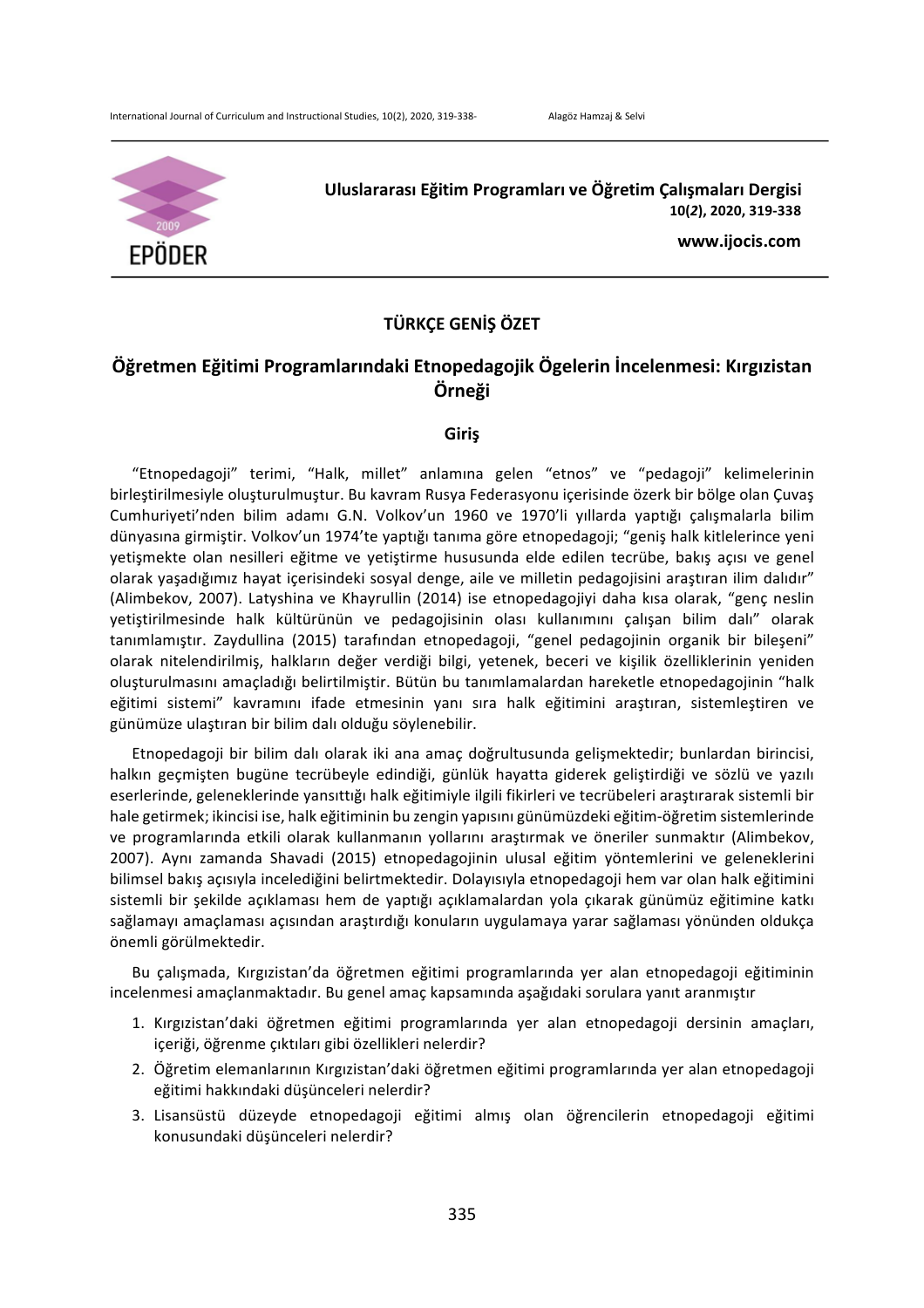

**Uluslararası Eğitim Programları ve Öğretim Çalışmaları Dergisi 10(***2***), 2020, 319-338**

**www.ijocis.com**

# **TÜRKÇE GENİŞ ÖZET**

# **Öğretmen Eğitimi Programlarındaki Etnopedagojik Ögelerin İncelenmesi: Kırgızistan Örneği**

#### **Giriş**

"Etnopedagoji" terimi, "Halk, millet" anlamına gelen "etnos" ve "pedagoji" kelimelerinin birleştirilmesiyle oluşturulmuştur. Bu kavram Rusya Federasyonu içerisinde özerk bir bölge olan Çuvaş Cumhuriyeti'nden bilim adamı G.N. Volkov'un 1960 ve 1970'li yıllarda yaptığı çalışmalarla bilim dünyasına girmiştir. Volkov'un 1974'te yaptığı tanıma göre etnopedagoji; "geniş halk kitlelerince yeni yetişmekte olan nesilleri eğitme ve yetiştirme hususunda elde edilen tecrübe, bakış açısı ve genel olarak yaşadığımız hayat içerisindeki sosyal denge, aile ve milletin pedagojisini araştıran ilim dalıdır" (Alimbekov, 2007). Latyshina ve Khayrullin (2014) ise etnopedagojiyi daha kısa olarak, "genç neslin yetiştirilmesinde halk kültürünün ve pedagojisinin olası kullanımını çalışan bilim dalı" olarak tanımlamıştır. Zaydullina (2015) tarafından etnopedagoji, "genel pedagojinin organik bir bileşeni" olarak nitelendirilmiş, halkların değer verdiği bilgi, yetenek, beceri ve kişilik özelliklerinin yeniden oluşturulmasını amaçladığı belirtilmiştir. Bütün bu tanımlamalardan hareketle etnopedagojinin "halk eğitimi sistemi" kavramını ifade etmesinin yanı sıra halk eğitimini araştıran, sistemleştiren ve günümüze ulaştıran bir bilim dalı olduğu söylenebilir.

Etnopedagoji bir bilim dalı olarak iki ana amaç doğrultusunda gelişmektedir; bunlardan birincisi, halkın geçmişten bugüne tecrübeyle edindiği, günlük hayatta giderek geliştirdiği ve sözlü ve yazılı eserlerinde, geleneklerinde yansıttığı halk eğitimiyle ilgili fikirleri ve tecrübeleri araştırarak sistemli bir hale getirmek; ikincisi ise, halk eğitiminin bu zengin yapısını günümüzdeki eğitim-öğretim sistemlerinde ve programlarında etkili olarak kullanmanın yollarını araştırmak ve öneriler sunmaktır (Alimbekov, 2007). Aynı zamanda Shavadi (2015) etnopedagojinin ulusal eğitim yöntemlerini ve geleneklerini bilimsel bakış açısıyla incelediğini belirtmektedir. Dolayısıyla etnopedagoji hem var olan halk eğitimini sistemli bir şekilde açıklaması hem de yaptığı açıklamalardan yola çıkarak günümüz eğitimine katkı sağlamayı amaçlaması açısından araştırdığı konuların uygulamaya yarar sağlaması yönünden oldukça önemli görülmektedir.

Bu çalışmada, Kırgızistan'da öğretmen eğitimi programlarında yer alan etnopedagoji eğitiminin incelenmesi amaçlanmaktadır. Bu genel amaç kapsamında aşağıdaki sorulara yanıt aranmıştır

- 1. Kırgızistan'daki öğretmen eğitimi programlarında yer alan etnopedagoji dersinin amaçları, içeriği, öğrenme çıktıları gibi özellikleri nelerdir?
- 2. Öğretim elemanlarının Kırgızistan'daki öğretmen eğitimi programlarında yer alan etnopedagoji eğitimi hakkındaki düşünceleri nelerdir?
- 3. Lisansüstü düzeyde etnopedagoji eğitimi almış olan öğrencilerin etnopedagoji eğitimi konusundaki düşünceleri nelerdir?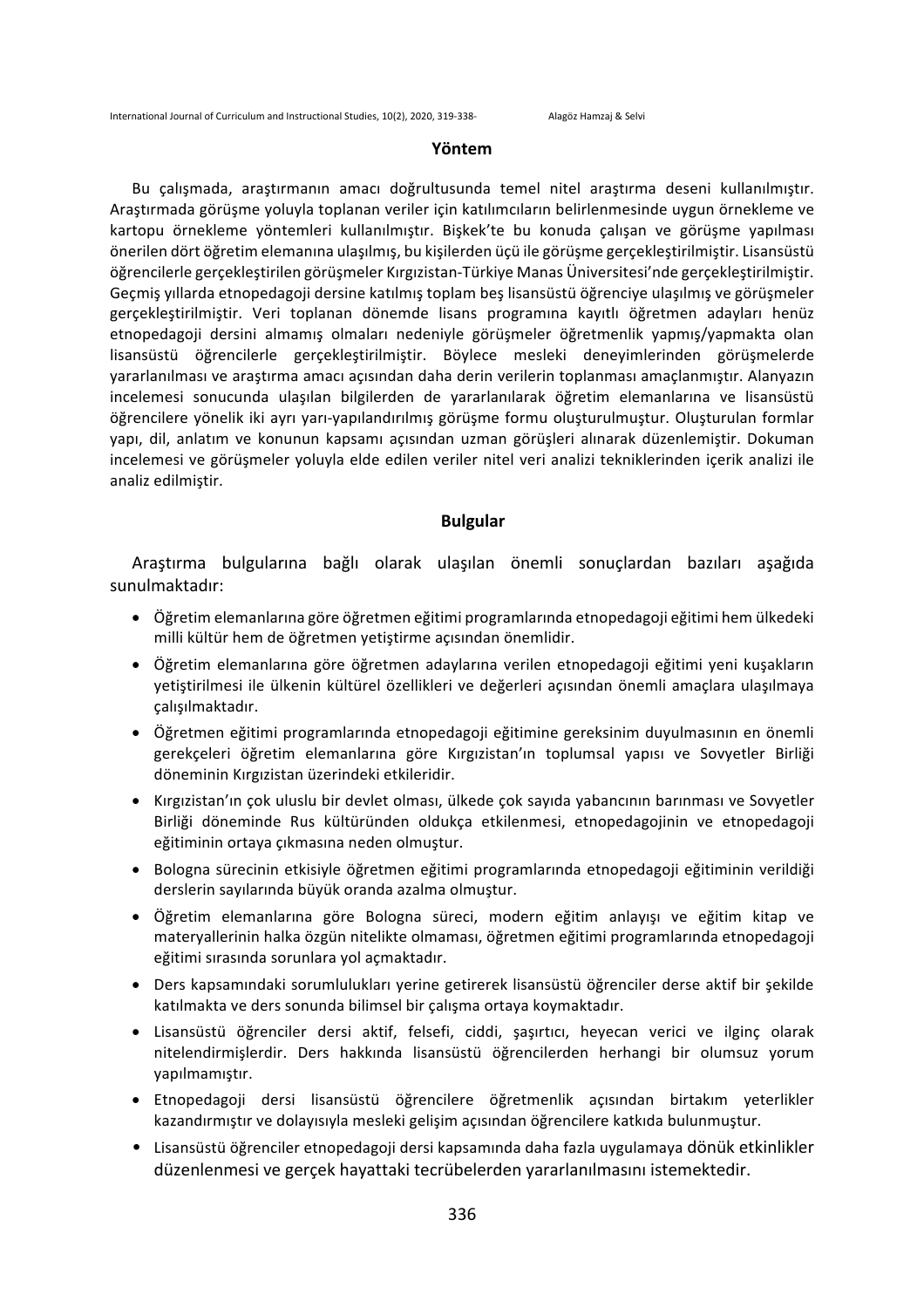#### **Yöntem**

Bu çalışmada, araştırmanın amacı doğrultusunda temel nitel araştırma deseni kullanılmıştır. Araştırmada görüşme yoluyla toplanan veriler için katılımcıların belirlenmesinde uygun örnekleme ve kartopu örnekleme yöntemleri kullanılmıştır. Bişkek'te bu konuda çalışan ve görüşme yapılması önerilen dört öğretim elemanına ulaşılmış, bu kişilerden üçü ile görüşme gerçekleştirilmiştir. Lisansüstü öğrencilerle gerçekleştirilen görüşmeler Kırgızistan-Türkiye Manas Üniversitesi'nde gerçekleştirilmiştir. Geçmiş yıllarda etnopedagoji dersine katılmış toplam beş lisansüstü öğrenciye ulaşılmış ve görüşmeler gerçekleştirilmiştir. Veri toplanan dönemde lisans programına kayıtlı öğretmen adayları henüz etnopedagoji dersini almamış olmaları nedeniyle görüşmeler öğretmenlik yapmış/yapmakta olan lisansüstü öğrencilerle gerçekleştirilmiştir. Böylece mesleki deneyimlerinden görüşmelerde yararlanılması ve araştırma amacı açısından daha derin verilerin toplanması amaçlanmıştır. Alanyazın incelemesi sonucunda ulaşılan bilgilerden de yararlanılarak öğretim elemanlarına ve lisansüstü öğrencilere yönelik iki ayrı yarı-yapılandırılmış görüşme formu oluşturulmuştur. Oluşturulan formlar yapı, dil, anlatım ve konunun kapsamı açısından uzman görüşleri alınarak düzenlemiştir. Dokuman incelemesi ve görüşmeler yoluyla elde edilen veriler nitel veri analizi tekniklerinden içerik analizi ile analiz edilmiştir.

## **Bulgular**

Araştırma bulgularına bağlı olarak ulaşılan önemli sonuçlardan bazıları aşağıda sunulmaktadır:

- Öğretim elemanlarına göre öğretmen eğitimi programlarında etnopedagoji eğitimi hem ülkedeki milli kültür hem de öğretmen yetiştirme açısından önemlidir.
- Öğretim elemanlarına göre öğretmen adaylarına verilen etnopedagoji eğitimi yeni kuşakların yetiştirilmesi ile ülkenin kültürel özellikleri ve değerleri açısından önemli amaçlara ulaşılmaya çalışılmaktadır.
- Öğretmen eğitimi programlarında etnopedagoji eğitimine gereksinim duyulmasının en önemli gerekçeleri öğretim elemanlarına göre Kırgızistan'ın toplumsal yapısı ve Sovyetler Birliği döneminin Kırgızistan üzerindeki etkileridir.
- Kırgızistan'ın çok uluslu bir devlet olması, ülkede çok sayıda yabancının barınması ve Sovyetler Birliği döneminde Rus kültüründen oldukça etkilenmesi, etnopedagojinin ve etnopedagoji eğitiminin ortaya çıkmasına neden olmuştur.
- Bologna sürecinin etkisiyle öğretmen eğitimi programlarında etnopedagoji eğitiminin verildiği derslerin sayılarında büyük oranda azalma olmuştur.
- Öğretim elemanlarına göre Bologna süreci, modern eğitim anlayışı ve eğitim kitap ve materyallerinin halka özgün nitelikte olmaması, öğretmen eğitimi programlarında etnopedagoji eğitimi sırasında sorunlara yol açmaktadır.
- Ders kapsamındaki sorumlulukları yerine getirerek lisansüstü öğrenciler derse aktif bir şekilde katılmakta ve ders sonunda bilimsel bir çalışma ortaya koymaktadır.
- Lisansüstü öğrenciler dersi aktif, felsefi, ciddi, sasırtıcı, heyecan verici ve ilginc olarak nitelendirmişlerdir. Ders hakkında lisansüstü öğrencilerden herhangi bir olumsuz yorum yapılmamıştır.
- Etnopedagoji dersi lisansüstü öğrencilere öğretmenlik açısından birtakım yeterlikler kazandırmıştır ve dolayısıyla mesleki gelişim açısından öğrencilere katkıda bulunmuştur.
- Lisansüstü öğrenciler etnopedagoji dersi kapsamında daha fazla uygulamaya dönük etkinlikler düzenlenmesi ve gerçek hayattaki tecrübelerden yararlanılmasını istemektedir.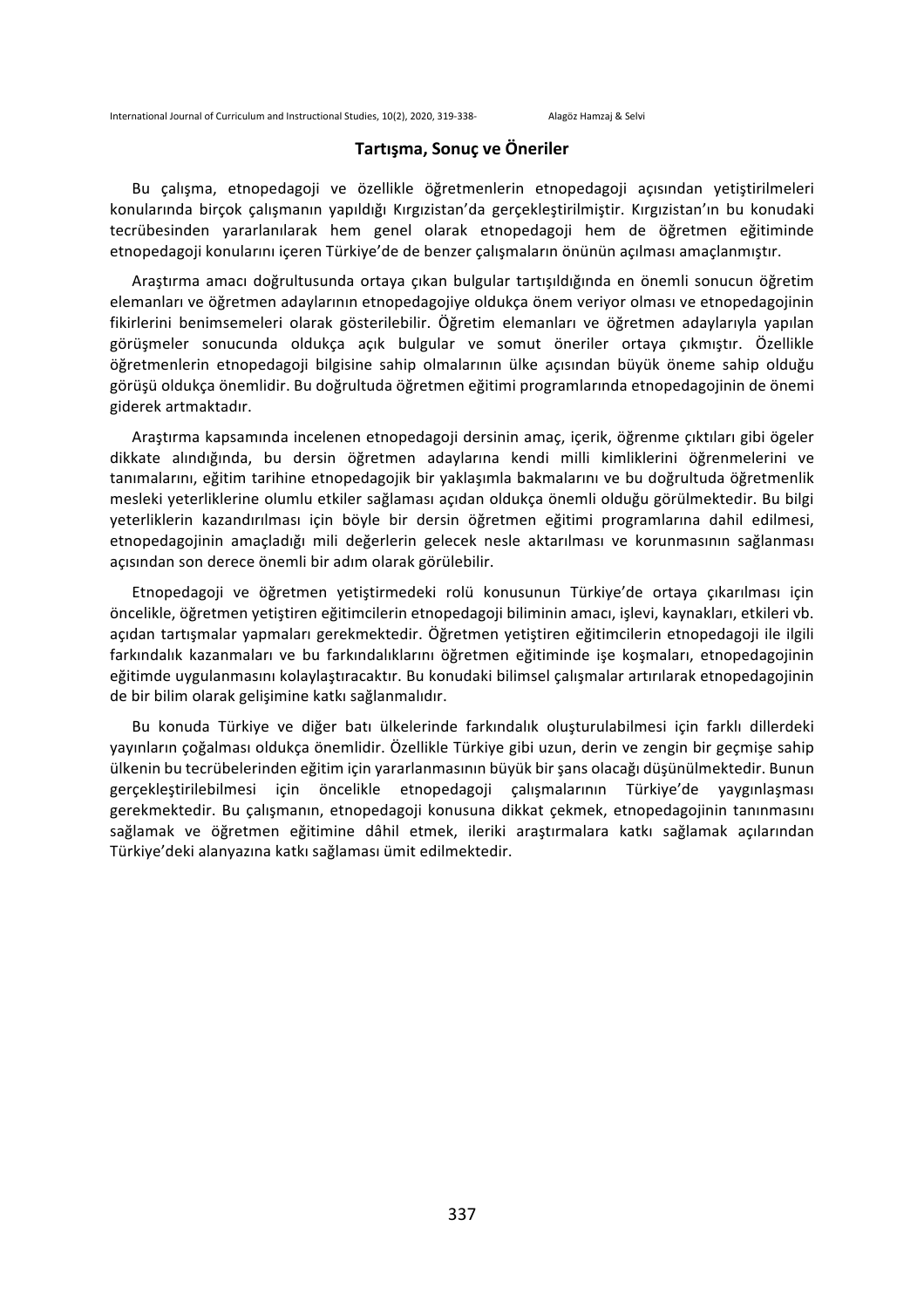## **Tartışma, Sonuç ve Öneriler**

Bu çalışma, etnopedagoji ve özellikle öğretmenlerin etnopedagoji açısından yetiştirilmeleri konularında birçok çalışmanın yapıldığı Kırgızistan'da gerçekleştirilmiştir. Kırgızistan'ın bu konudaki tecrübesinden yararlanılarak hem genel olarak etnopedagoji hem de öğretmen eğitiminde etnopedagoji konularını içeren Türkiye'de de benzer çalışmaların önünün açılması amaçlanmıştır.

Arastırma amacı doğrultusunda ortaya cıkan bulgular tartışıldığında en önemli sonucun öğretim elemanları ve öğretmen adaylarının etnopedagojiye oldukça önem veriyor olması ve etnopedagojinin fikirlerini benimsemeleri olarak gösterilebilir. Öğretim elemanları ve öğretmen adaylarıyla yapılan görüşmeler sonucunda oldukça açık bulgular ve somut öneriler ortaya çıkmıştır. Özellikle öğretmenlerin etnopedagoji bilgisine sahip olmalarının ülke açısından büyük öneme sahip olduğu görüşü oldukça önemlidir. Bu doğrultuda öğretmen eğitimi programlarında etnopedagojinin de önemi giderek artmaktadır.

Araştırma kapsamında incelenen etnopedagoji dersinin amaç, içerik, öğrenme çıktıları gibi ögeler dikkate alındığında, bu dersin öğretmen adaylarına kendi milli kimliklerini öğrenmelerini ve tanımalarını, eğitim tarihine etnopedagojik bir yaklaşımla bakmalarını ve bu doğrultuda öğretmenlik mesleki yeterliklerine olumlu etkiler sağlaması açıdan oldukça önemli olduğu görülmektedir. Bu bilgi yeterliklerin kazandırılması için böyle bir dersin öğretmen eğitimi programlarına dahil edilmesi, etnopedagojinin amaçladığı mili değerlerin gelecek nesle aktarılması ve korunmasının sağlanması açısından son derece önemli bir adım olarak görülebilir.

Etnopedagoji ve öğretmen yetiştirmedeki rolü konusunun Türkiye'de ortaya çıkarılması için öncelikle, öğretmen yetiştiren eğitimcilerin etnopedagoji biliminin amacı, işlevi, kaynakları, etkileri vb. açıdan tartışmalar yapmaları gerekmektedir. Öğretmen yetiştiren eğitimcilerin etnopedagoji ile ilgili farkındalık kazanmaları ve bu farkındalıklarını öğretmen eğitiminde işe koşmaları, etnopedagojinin eğitimde uygulanmasını kolaylaştıracaktır. Bu konudaki bilimsel çalışmalar artırılarak etnopedagojinin de bir bilim olarak gelişimine katkı sağlanmalıdır.

Bu konuda Türkiye ve diğer batı ülkelerinde farkındalık olusturulabilmesi için farklı dillerdeki yayınların çoğalması oldukça önemlidir. Özellikle Türkiye gibi uzun, derin ve zengin bir geçmişe sahip ülkenin bu tecrübelerinden eğitim için yararlanmasının büyük bir şans olacağı düşünülmektedir. Bunun gerçekleştirilebilmesi için öncelikle etnopedagoji çalışmalarının Türkiye'de yaygınlaşması gerekmektedir. Bu çalışmanın, etnopedagoji konusuna dikkat çekmek, etnopedagojinin tanınmasını sağlamak ve öğretmen eğitimine dâhil etmek, ileriki araştırmalara katkı sağlamak açılarından Türkiye'deki alanyazına katkı sağlaması ümit edilmektedir.